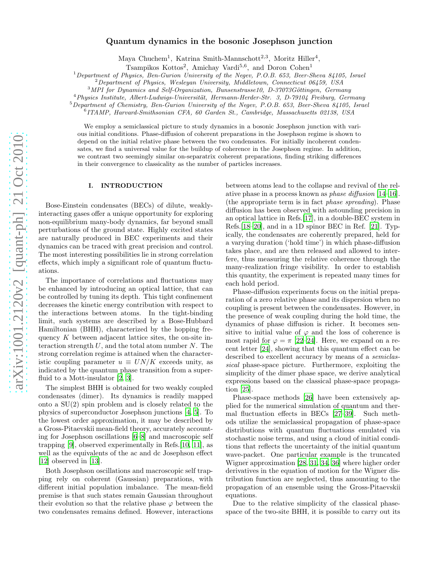# Quantum dynamics in the bosonic Josephson junction

Maya Chuchem<sup>1</sup>, Katrina Smith-Mannschott<sup>2,3</sup>, Moritz Hiller<sup>4</sup>,

Tsampikos Kottos<sup>2</sup>, Amichay Vardi<sup>5,6</sup>, and Doron Cohen<sup>1</sup>

<sup>1</sup>*Department of Physics, Ben-Gurion University of the Negev, P.O.B. 653, Beer-Sheva 84105, Israel*

<sup>2</sup>*Department of Physics, Wesleyan University, Middletown, Connecticut 06459, USA*

<sup>3</sup>MPI for Dynamics and Self-Organization, Bunsenstrasse10, D-37073Göttingen, Germany

<sup>4</sup>*Physics Institute, Albert-Ludwigs-Universit¨at, Hermann-Herder-Str. 3, D-79104 Freiburg, Germany*

<sup>5</sup>*Department of Chemistry, Ben-Gurion University of the Negev, P.O.B. 653, Beer-Sheva 84105, Israel*

6 *ITAMP, Harvard-Smithsonian CFA, 60 Garden St., Cambridge, Massachusetts 02138, USA*

We employ a semiclassical picture to study dynamics in a bosonic Josephson junction with various initial conditions. Phase-diffusion of coherent preparations in the Josephson regime is shown to depend on the initial relative phase between the two condensates. For initially incoherent condensates, we find a universal value for the buildup of coherence in the Josephson regime. In addition, we contrast two seemingly similar on-separatrix coherent preparations, finding striking differences in their convergence to classicality as the number of particles increases.

### I. INTRODUCTION

Bose-Einstein condensates (BECs) of dilute, weaklyinteracting gases offer a unique opportunity for exploring non-equilibrium many-body dynamics, far beyond small perturbations of the ground state. Highly excited states are naturally produced in BEC experiments and their dynamics can be traced with great precision and control. The most interesting possibilities lie in strong correlation effects, which imply a significant role of quantum fluctuations.

The importance of correlations and fluctuations may be enhanced by introducing an optical lattice, that can be controlled by tuning its depth. This tight confinement decreases the kinetic energy contribution with respect to the interactions between atoms. In the tight-binding limit, such systems are described by a Bose-Hubbard Hamiltonian (BHH), characterized by the hopping frequency  $K$  between adjacent lattice sites, the on-site interaction strength  $U$ , and the total atom number  $N$ . The strong correlation regime is attained when the characteristic coupling parameter  $u \equiv UN/K$  exceeds unity, as indicated by the quantum phase transition from a superfluid to a Mott-insulator [\[2,](#page-13-0) [3\]](#page-13-1).

The simplest BHH is obtained for two weakly coupled condensates (dimer). Its dynamics is readily mapped onto a SU(2) spin problem and is closely related to the physics of superconductor Josephson junctions [\[4,](#page-13-2) [5\]](#page-13-3). To the lowest order approximation, it may be described by a Gross-Pitaevskii mean-field theory, accurately accounting for Josephson oscillations [\[6](#page-13-4)[–8\]](#page-13-5) and macroscopic self trapping [\[9](#page-13-6)], observed experimentally in Refs.[\[10](#page-13-7), [11](#page-13-8)], as well as the equivalents of the ac and dc Josephson effect [\[12\]](#page-13-9) observed in [\[13](#page-13-10)].

Both Josephson oscillations and macroscopic self trapping rely on coherent (Gaussian) preparations, with different initial population imbalance. The mean-field premise is that such states remain Gaussian throughout their evolution so that the relative phase  $\varphi$  between the two condensates remains defined. However, interactions between atoms lead to the collapse and revival of the relative phase in a process known as phase diffusion [\[14](#page-13-11)[–16\]](#page-13-12). (the appropriate term is in fact phase spreading). Phase diffusion has been observed with astounding precision in an optical lattice in Refs.[\[17\]](#page-13-13), in a double-BEC system in Refs.[\[18](#page-13-14)[–20](#page-13-15)], and in a 1D spinor BEC in Ref. [\[21](#page-13-16)]. Typically, the condensates are coherently prepared, held for a varying duration ('hold time') in which phase-diffusion takes place, and are then released and allowed to interfere, thus measuring the relative coherence through the many-realization fringe visibility. In order to establish this quantity, the experiment is repeated many times for each hold period.

Phase-diffusion experiments focus on the initial preparation of a zero relative phase and its dispersion when no coupling is present between the condensates. However, in the presence of weak coupling during the hold time, the dynamics of phase diffusion is richer. It becomes sensitive to initial value of  $\varphi$  and the loss of coherence is most rapid for  $\varphi = \pi$  [\[22](#page-13-17)[–24](#page-13-18)]. Here, we expand on a recent letter [\[24\]](#page-13-18), showing that this quantum effect can be described to excellent accuracy by means of a semiclassical phase-space picture. Furthermore, exploiting the simplicity of the dimer phase space, we derive analytical expressions based on the classical phase-space propagation [\[25](#page-13-19)].

Phase-space methods [\[26\]](#page-13-20) have been extensively applied for the numerical simulation of quantum and thermal fluctuation effects in BECs [\[27](#page-13-21)[–39\]](#page-13-22). Such methods utilize the semiclassical propagation of phase-space distributions with quantum fluctuations emulated via stochastic noise terms, and using a cloud of initial conditions that reflects the uncertainty of the initial quantum wave-packet. One particular example is the truncated Wigner approximation [\[28,](#page-13-23) [31](#page-13-24), [34,](#page-13-25) [36](#page-13-26)] where higher order derivatives in the equation of motion for the Wigner distribution function are neglected, thus amounting to the propagation of an ensemble using the Gross-Pitaevskii equations.

Due to the relative simplicity of the classical phasespace of the two-site BHH, it is possible to carry out its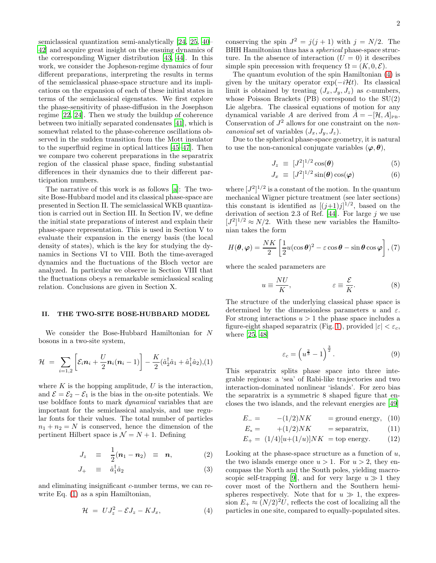semiclassical quantization semi-analytically [\[24,](#page-13-18) [25](#page-13-19), [40](#page-13-27)– [42\]](#page-13-28) and acquire great insight on the ensuing dynamics of the corresponding Wigner distribution [\[43,](#page-13-29) [44\]](#page-13-30). In this work, we consider the Jopheson-regime dynamics of four different preparations, interpreting the results in terms of the semiclassical phase-space structure and its implications on the expansion of each of these initial states in terms of the semiclassical eigenstates. We first explore the phase-sensitivity of phase-diffusion in the Josephson regime [\[22,](#page-13-17) [24\]](#page-13-18). Then we study the buildup of coherence between two initially separated condensates [\[41\]](#page-13-31), which is somewhat related to the phase-coherence oscillations observed in the sudden transition from the Mott insulator to the superfluid regime in optical lattices [\[45](#page-13-32)[–47\]](#page-13-33). Then we compare two coherent preparations in the separatrix region of the classical phase space, finding substantial differences in their dynamics due to their different participation numbers.

The narrative of this work is as follows [\[a\]](#page-13-34): The twosite Bose-Hubbard model and its classical phase-space are presented in Section II. The semiclassical WKB quantization is carried out in Section III. In Section IV, we define the initial state preparations of interest and explain their phase-space representation. This is used in Section V to evaluate their expansion in the energy basis (the local density of states), which is the key for studying the dynamics in Sections VI to VIII. Both the time-averaged dynamics and the fluctuations of the Bloch vector are analyzed. In particular we observe in Section VIII that the fluctuations obeys a remarkable semiclassical scaling relation. Conclusions are given in Section X.

### II. THE TWO-SITE BOSE-HUBBARD MODEL

We consider the Bose-Hubbard Hamiltonian for N bosons in a two-site system,

<span id="page-1-0"></span>
$$
\mathcal{H} = \sum_{i=1,2} \left[ \mathcal{E}_i \boldsymbol{n}_i + \frac{U}{2} \boldsymbol{n}_i (\boldsymbol{n}_i - 1) \right] - \frac{K}{2} (\hat{a}_2^{\dagger} \hat{a}_1 + \hat{a}_1^{\dagger} \hat{a}_2), (1)
$$

where  $K$  is the hopping amplitude,  $U$  is the interaction, and  $\mathcal{E} = \mathcal{E}_2 - \mathcal{E}_1$  is the bias in the on-site potentials. We use boldface fonts to mark dynamical variables that are important for the semiclassical analysis, and use regular fonts for their values. The total number of particles  $n_1 + n_2 = N$  is conserved, hence the dimension of the pertinent Hilbert space is  $\mathcal{N} = N + 1$ . Defining

$$
J_z \equiv \frac{1}{2}(\boldsymbol{n}_1 - \boldsymbol{n}_2) \equiv \boldsymbol{n}, \qquad (2)
$$

$$
J_{+} \equiv \hat{a}_{1}^{\dagger} \hat{a}_{2} \tag{3}
$$

and eliminating insignificant c-number terms, we can rewrite Eq. [\(1\)](#page-1-0) as a spin Hamiltonian,

<span id="page-1-1"></span>
$$
\mathcal{H} = UJ_z^2 - \mathcal{E}J_z - KJ_x, \tag{4}
$$

conserving the spin  $J^2 = j(j + 1)$  with  $j = N/2$ . The BHH Hamiltonian thus has a spherical phase-space structure. In the absence of interaction  $(U = 0)$  it describes simple spin precession with frequency  $\Omega = (K, 0, \mathcal{E}).$ 

The quantum evolution of the spin Hamiltonian [\(4\)](#page-1-1) is given by the unitary operator  $exp(-i\mathcal{H}t)$ . Its classical limit is obtained by treating  $(J_x, J_y, J_z)$  as c-numbers, whose Poisson Brackets (PB) correspond to the SU(2) Lie algebra. The classical equations of motion for any dynamical variable A are derived from  $\dot{A} = -[\mathcal{H}, A]_{PB}$ . Conservation of  $J^2$  allows for one constraint on the *non*canonical set of variables  $(J_x, J_y, J_z)$ .

Due to the spherical phase-space geometry, it is natural to use the non-canonical conjugate variables  $(\varphi, \theta)$ ,

<span id="page-1-3"></span>
$$
J_z \equiv [J^2]^{1/2} \cos(\theta) \tag{5}
$$

$$
J_x \equiv [J^2]^{1/2} \sin(\theta) \cos(\varphi) \tag{6}
$$

where  $[J^2]^{1/2}$  is a constant of the motion. In the quantum mechanical Wigner picture treatment (see later sections) this constant is identified as  $[(j+1)j]^{1/2}$ , based on the derivation of section 2.3 of Ref. [\[44](#page-13-30)]. For large  $j$  we use  $[J^2]^{1/2} \approx N/2$ . With these new variables the Hamiltonian takes the form

<span id="page-1-2"></span>
$$
H(\boldsymbol{\theta}, \boldsymbol{\varphi}) = \frac{NK}{2} \left[ \frac{1}{2} u(\cos \boldsymbol{\theta})^2 - \varepsilon \cos \boldsymbol{\theta} - \sin \boldsymbol{\theta} \cos \boldsymbol{\varphi} \right], (7)
$$

where the scaled parameters are

$$
u \equiv \frac{NU}{K}, \qquad \varepsilon \equiv \frac{\mathcal{E}}{K}.
$$
 (8)

The structure of the underlying classical phase space is determined by the dimensionless parameters u and  $\varepsilon$ . For strong interactions  $u > 1$  the phase space includes a figure-eight shaped separatrix (Fig. [1\)](#page-14-0), provided  $|\varepsilon| < \varepsilon_c$ , where [\[25,](#page-13-19) [48\]](#page-13-35)

<span id="page-1-5"></span>
$$
\varepsilon_c = \left(u^{\frac{2}{3}} - 1\right)^{\frac{3}{2}}.\tag{9}
$$

This separatrix splits phase space into three integrable regions: a 'sea' of Rabi-like trajectories and two interaction-dominated nonlinear 'islands'. For zero bias the separatrix is a symmetric 8 shaped figure that encloses the two islands, and the relevant energies are [\[49\]](#page-13-36)

<span id="page-1-4"></span>
$$
E_{-} = - (1/2)NK = \text{ground energy}, (10)
$$

$$
E_x = \t+ (1/2)NK \t= \text{separatrix}, \t(11)
$$

$$
E_{+} = (1/4)[u + (1/u)]NK = \text{top energy.} \tag{12}
$$

Looking at the phase-space structure as a function of  $u$ , the two islands emerge once  $u > 1$ . For  $u > 2$ , they encompass the North and the South poles, yielding macro-scopic self-trapping [\[9\]](#page-13-6), and for very large  $u \gg 1$  they cover most of the Northern and the Southern hemispheres respectively. Note that for  $u \gg 1$ , the expression  $E_+ \approx (N/2)^2 U$ , reflects the cost of localizing all the particles in one site, compared to equally-populated sites.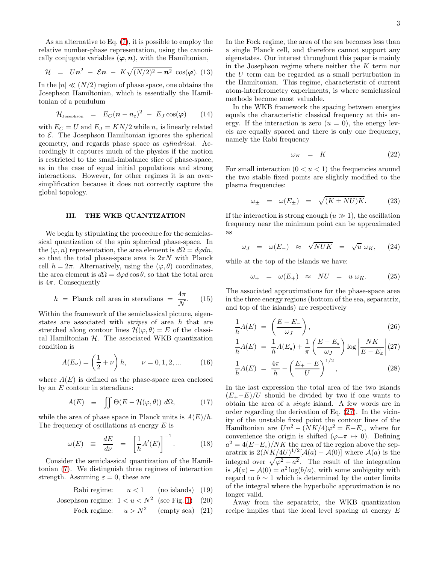As an alternative to Eq. [\(7\)](#page-1-2), it is possible to employ the relative number-phase representation, using the canonically conjugate variables  $(\varphi, n)$ , with the Hamiltonian,

$$
\mathcal{H} = Un^2 - \mathcal{E}n - K\sqrt{(N/2)^2 - n^2} \cos(\varphi). (13)
$$

In the  $|n| \ll (N/2)$  region of phase space, one obtains the Josephson Hamiltonian, which is essentially the Hamiltonian of a pendulum

$$
\mathcal{H}_{\text{Josephson}} = E_C (n - n_{\varepsilon})^2 - E_J \cos(\varphi) \qquad (14)
$$

with  $E_C = U$  and  $E_J = KN/2$  while  $n_{\varepsilon}$  is linearly related to  $\mathcal{E}$ . The Josephson Hamiltonian ignores the spherical geometry, and regards phase space as cylindrical. Accordingly it captures much of the physics if the motion is restricted to the small-imbalance slice of phase-space, as in the case of equal initial populations and strong interactions. However, for other regimes it is an oversimplification because it does not correctly capture the global topology.

#### III. THE WKB QUANTIZATION

We begin by stipulating the procedure for the semiclassical quantization of the spin spherical phase-space. In the  $(\varphi, n)$  representation, the area element is  $d\Omega = d\varphi dn$ , so that the total phase-space area is  $2\pi N$  with Planck cell  $h = 2\pi$ . Alternatively, using the  $(\varphi, \theta)$  coordinates, the area element is  $d\Omega = d\varphi d \cos \theta$ , so that the total area is  $4\pi$ . Consequently

$$
h = \text{Planck cell area in steradians} = \frac{4\pi}{\mathcal{N}}. \quad (15)
$$

Within the framework of the semiclassical picture, eigenstates are associated with stripes of area h that are stretched along contour lines  $\mathcal{H}(\varphi,\theta)=E$  of the classical Hamiltonian  $H$ . The associated WKB quantization condition is

$$
A(E_{\nu}) = \left(\frac{1}{2} + \nu\right)h, \qquad \nu = 0, 1, 2, \dots \tag{16}
$$

where  $A(E)$  is defined as the phase-space area enclosed by an  $E$  contour in steradians:

$$
A(E) \equiv \iint \Theta(E - \mathcal{H}(\varphi, \theta)) \, d\Omega, \tag{17}
$$

while the area of phase space in Planck units is  $A(E)/h$ . The frequency of oscillations at energy  $E$  is

<span id="page-2-1"></span>
$$
\omega(E) \equiv \frac{dE}{d\nu} = \left[\frac{1}{h}A'(E)\right]^{-1}.\tag{18}
$$

Consider the semiclassical quantization of the Hamiltonian [\(7\)](#page-1-2). We distinguish three regimes of interaction strength. Assuming  $\varepsilon = 0$ , these are

Rabi regime: 
$$
u < 1
$$
 (no islands) (19)  
enbaen pairing:  $1 \le u \le N^2$  (see Fig. 1). (20)

Josephson regime: 
$$
1 < u < N^2
$$
 (see Fig. 1) (20)

Fock regime: 
$$
u > N^2
$$
 (empty sea) (21)

In the Fock regime, the area of the sea becomes less than a single Planck cell, and therefore cannot support any eigenstates. Our interest throughout this paper is mainly in the Josephson regime where neither the  $K$  term nor the U term can be regarded as a small perturbation in the Hamiltonian. This regime, characteristic of current atom-interferometry experiments, is where semiclassical methods become most valuable.

In the WKB framework the spacing between energies equals the characteristic classical frequency at this energy. If the interaction is zero  $(u = 0)$ , the energy levels are equally spaced and there is only one frequency, namely the Rabi frequency

$$
\omega_K = K \tag{22}
$$

For small interaction  $(0 < u < 1)$  the frequencies around the two stable fixed points are slightly modified to the plasma frequencies:

$$
\omega_{\pm} = \omega(E_{\pm}) = \sqrt{(K \pm NU)K}.
$$
 (23)

If the interaction is strong enough  $(u \gg 1)$ , the oscillation frequency near the minimum point can be approximated as

$$
\omega_J = \omega(E_-) \approx \sqrt{NUK} = \sqrt{u} \omega_K, \quad (24)
$$

while at the top of the islands we have:

$$
\omega_+ = \omega(E_+) \approx NU = u \omega_K. \qquad (25)
$$

The associated approximations for the phase-space area in the three energy regions (bottom of the sea, separatrix, and top of the islands) are respectively

<span id="page-2-0"></span>
$$
\frac{1}{h}A(E) = \left(\frac{E - E_-}{\omega_J}\right),\tag{26}
$$

$$
\frac{1}{h}A(E) = \frac{1}{h}A(E_x) + \frac{1}{\pi} \left(\frac{E - E_x}{\omega_J}\right) \log \left|\frac{NK}{E - E_x}\right| (27)
$$

$$
\frac{1}{\pi}A(E) = \frac{4\pi}{\pi} - \left(\frac{E_+ - E}{E}\right)^{1/2} (28)
$$

$$
\frac{1}{h}A(E) = \frac{4\pi}{h} - \left(\frac{E_{+} - E}{U}\right)^{1/2},\tag{28}
$$

In the last expression the total area of the two islands  $(E_{+}-E)/U$  should be divided by two if one wants to obtain the area of a single island. A few words are in order regarding the derivation of Eq. [\(27\)](#page-2-0). In the vicinity of the unstable fixed point the contour lines of the Hamiltonian are  $Un^2 - (NK/4)\varphi^2 = E - E_x$ , where for convenience the origin is shifted ( $\varphi = \pi \mapsto 0$ ). Defining  $a^2 = 4(E-E_x)/NK$  the area of the region above the separatrix is  $2(NK/4U)^{1/2}[\mathcal{A}(a) - \mathcal{A}(0)]$  where  $\mathcal{A}(a)$  is the integral over  $\sqrt{\varphi^2 + a^2}$ . The result of the integration is  $\mathcal{A}(a) - \mathcal{A}(0) = a^2 \log(b/a)$ , with some ambiguity with regard to  $b \sim 1$  which is determined by the outer limits of the integral where the hyperbolic approximation is no longer valid.

Away from the separatrix, the WKB quantization recipe implies that the local level spacing at energy E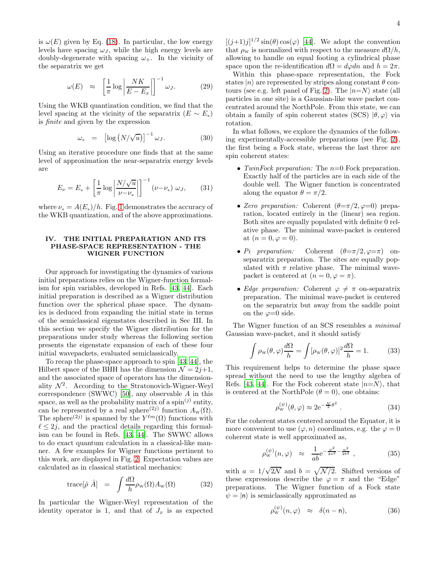is  $\omega(E)$  given by Eq. [\(18\)](#page-2-1). In particular, the low energy levels have spacing  $\omega_J$ , while the high energy levels are doubly-degenerate with spacing  $\omega_{+}$ . In the vicinity of the separatrix we get

<span id="page-3-1"></span>
$$
\omega(E) \approx \left[\frac{1}{\pi} \log \left| \frac{NK}{E - E_x} \right|\right]^{-1} \omega_J. \tag{29}
$$

Using the WKB quantization condition, we find that the level spacing at the vicinity of the separatrix  $(E \sim E_{\rm x})$ is finite and given by the expression

<span id="page-3-3"></span>
$$
\omega_{\mathsf{x}} = \left[ \log \left( N / \sqrt{u} \right) \right]^{-1} \omega_{J}. \tag{30}
$$

Using an iterative procedure one finds that at the same level of approximation the near-separatrix energy levels are

$$
E_{\nu} = E_{\rm x} + \left[\frac{1}{\pi} \log \left| \frac{N/\sqrt{u}}{\nu - \nu_{\rm x}} \right|\right]^{-1} (\nu - \nu_{\rm x}) \omega_J, \qquad (31)
$$

where  $\nu_x = A(E_x)/h$ . Fig. [1](#page-14-0) demonstrates the accuracy of the WKB quantization, and of the above approximations.

### IV. THE INITIAL PREPARATION AND ITS PHASE-SPACE REPRESENTATION - THE WIGNER FUNCTION

Our approach for investigating the dynamics of various initial preparations relies on the Wigner-function formalism for spin variables, developed in Refs. [\[43](#page-13-29), [44\]](#page-13-30). Each initial preparation is described as a Wigner distribution function over the spherical phase space. The dynamics is deduced from expanding the initial state in terms of the semiclassical eigenstates described in Sec III. In this section we specify the Wigner distribution for the preparations under study whereas the following section presents the eigenstate expansion of each of these four initial wavepackets, evaluated semiclassically.

To recap the phase-space approach to spin [\[43](#page-13-29), [44\]](#page-13-30), the Hilbert space of the BHH has the dimension  $\mathcal{N} = 2j+1$ , and the associated space of operators has the dimensionality  $\mathcal{N}^2$ . According to the Stratonovich-Wigner-Weyl correspondence (SWWC) [\[50\]](#page-13-37), any observable A in this space, as well as the probability matrix of a spin<sup>(j)</sup> entity, can be represented by a real sphere<sup>(2j)</sup> function  $A_{\rm w}(\Omega)$ . The sphere<sup>(2j)</sup> is spanned by the  $Y^{\ell m}(\Omega)$  functions with  $\ell \leq 2j$ , and the practical details regarding this formalism can be found in Refs. [\[43,](#page-13-29) [44\]](#page-13-30). The SWWC allows to do exact quantum calculation in a classical-like manner. A few examples for Wigner functions pertinent to this work, are displayed in Fig. [2.](#page-14-1) Expectation values are calculated as in classical statistical mechanics:

<span id="page-3-4"></span>
$$
\text{trace}[\hat{\rho} \,\,\hat{A}] = \int \frac{d\Omega}{h} \rho_{\text{w}}(\Omega) A_{\text{w}}(\Omega) \tag{32}
$$

In particular the Wigner-Weyl representation of the identity operator is 1, and that of  $J_x$  is as expected

 $[(j+1)j]^{1/2} \sin(\theta) \cos(\varphi)$  [\[44\]](#page-13-30). We adopt the convention that  $\rho_w$  is normalized with respect to the measure  $d\Omega/h$ , allowing to handle on equal footing a cylindrical phase space upon the re-identification  $d\Omega = d\varphi dn$  and  $h = 2\pi$ .

Within this phase-space representation, the Fock states  $|n\rangle$  are represented by stripes along constant  $\theta$  con-tours (see e.g. left panel of Fig. [2\)](#page-14-1). The  $|n=N\rangle$  state (all particles in one site) is a Gaussian-like wave packet concentrated around the NorthPole. From this state, we can obtain a family of spin coherent states (SCS)  $|\theta, \varphi\rangle$  via rotation.

In what follows, we explore the dynamics of the following experimentally-accessible preparations (see Fig. [2\)](#page-14-1), the first being a Fock state, whereas the last three are spin coherent states:

- TwinFock preparation: The  $n=0$  Fock preparation. Exactly half of the particles are in each side of the double well. The Wigner function is concentrated along the equator  $\theta = \pi/2$ .
- Zero preparation: Coherent  $(\theta = \pi/2, \varphi = 0)$  preparation, located entirely in the (linear) sea region. Both sites are equally populated with definite 0 relative phase. The minimal wave-packet is centered at  $(n = 0, \varphi = 0)$ .
- Pi preparation: Coherent  $(\theta = \pi/2, \varphi = \pi)$  onseparatrix preparation. The sites are equally populated with  $\pi$  relative phase. The minimal wavepacket is centered at  $(n = 0, \varphi = \pi)$ .
- Edge preparation: Coherent  $\varphi \neq \pi$  on-separatrix preparation. The minimal wave-packet is centered on the separatrix but away from the saddle point on the  $\varphi=0$  side.

The Wigner function of an SCS resembles a minimal Gaussian wave-packet, and it should satisfy

$$
\int \rho_{\rm w}(\theta,\varphi)\frac{d\Omega}{h} = \int [\rho_{\rm w}(\theta,\varphi)]^2 \frac{d\Omega}{h} = 1.
$$
 (33)

This requirement helps to determine the phase space spread without the need to use the lengthy algebra of Refs. [\[43,](#page-13-29) [44\]](#page-13-30). For the Fock coherent state  $|n=N\rangle$ , that is centered at the NorthPole  $(\theta = 0)$ , one obtains:

$$
\rho_{\rm w}^{(\psi)}(\theta,\varphi) \approx 2 \mathrm{e}^{-\frac{\mathcal{N}}{2}\theta^2} \ . \tag{34}
$$

For the coherent states centered around the Equator, it is more convenient to use  $(\varphi, n)$  coordinates, e.g. the  $\varphi = 0$ coherent state is well approximated as,

<span id="page-3-0"></span>
$$
\rho_{\rm W}^{(\psi)}(n,\varphi) \approx \frac{1}{ab} e^{-\frac{\varphi^2}{2a^2} - \frac{n^2}{2b^2}}, \qquad (35)
$$

with  $a = 1/\sqrt{2\mathcal{N}}$  and  $b = \sqrt{\mathcal{N}/2}$ . Shifted versions of these expressions describe the  $\varphi = \pi$  and the "Edge" preparations. The Wigner function of a Fock state  $\psi = |n\rangle$  is semiclassically approximated as

<span id="page-3-2"></span>
$$
\rho_{\rm w}^{(\psi)}(n,\varphi) \approx \delta(n-n), \tag{36}
$$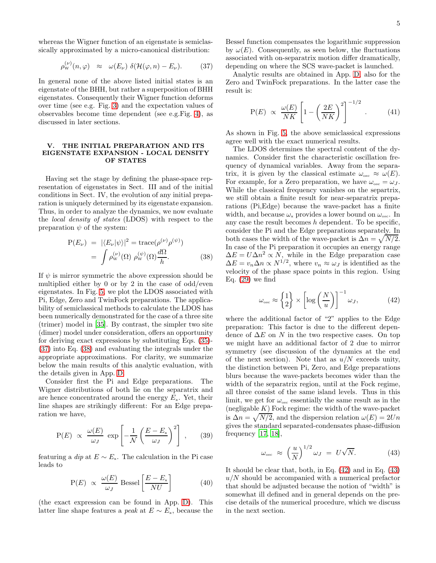whereas the Wigner function of an eigenstate is semiclassically approximated by a micro-canonical distribution:

<span id="page-4-0"></span>
$$
\rho_{\rm w}^{(\nu)}(n,\varphi) \approx \omega(E_{\nu}) \delta(\mathcal{H}(\varphi,n) - E_{\nu}). \tag{37}
$$

In general none of the above listed initial states is an eigenstate of the BHH, but rather a superposition of BHH eigenstates. Consequently their Wigner function deforms over time (see e.g. Fig. [3\)](#page-15-0) and the expectation values of observables become time dependent (see e.g.Fig. [4\)](#page-15-1), as discussed in later sections.

## V. THE INITIAL PREPARATION AND ITS EIGENSTATE EXPANSION - LOCAL DENSITY OF STATES

Having set the stage by defining the phase-space representation of eigenstates in Sect. III and of the initial conditions in Sect. IV, the evolution of any initial preparation is uniquely determined by its eigenstate expansion. Thus, in order to analyze the dynamics, we now evaluate the local density of states (LDOS) with respect to the preparation  $\psi$  of the system:

<span id="page-4-1"></span>
$$
P(E_{\nu}) = |\langle E_{\nu} | \psi \rangle|^2 = \text{trace}(\rho^{(\nu)} \rho^{(\psi)})
$$

$$
= \int \rho_{\rm w}^{(\nu)}(\Omega) \rho_{\rm w}^{(\psi)}(\Omega) \frac{d\Omega}{h}.
$$
(38)

If  $\psi$  is mirror symmetric the above expression should be multiplied either by 0 or by 2 in the case of odd/even eigenstates. In Fig. [5,](#page-16-0) we plot the LDOS associated with Pi, Edge, Zero and TwinFock preparations. The applicability of semiclassical methods to calculate the LDOS has been numerically demonstrated for the case of a three site (trimer) model in [\[35](#page-13-38)]. By contrast, the simpler two site (dimer) model under consideration, offers an opportunity for deriving exact expressions by substituting Eqs. [\(35\)](#page-3-0)- [\(37\)](#page-4-0) into Eq. [\(38\)](#page-4-1) and evaluating the integrals under the appropriate approximations. For clarity, we summarize below the main results of this analytic evaluation, with the details given in App. [D.](#page-11-0)

Consider first the Pi and Edge preparations. The Wigner distributions of both lie on the separatrix and are hence concentrated around the energy  $E<sub>x</sub>$ . Yet, their line shapes are strikingly different: For an Edge preparation we have,

$$
P(E) \propto \frac{\omega(E)}{\omega_J} \exp\left[-\frac{1}{\mathcal{N}} \left(\frac{E - E_x}{\omega_J}\right)^2\right] \,, \qquad (39)
$$

featuring a dip at  $E \sim E_{\rm x}$ . The calculation in the Pi case leads to

$$
P(E) \propto \frac{\omega(E)}{\omega_J} \text{ Bessel}\left[\frac{E - E_\times}{NU}\right] \tag{40}
$$

(the exact expression can be found in App. [D\)](#page-11-0). This latter line shape features a *peak* at  $E \sim E_{\rm x}$ , because the

Bessel function compensates the logarithmic suppression by  $\omega(E)$ . Consequently, as seen below, the fluctuations associated with on-separatrix motion differ dramatically, depending on where the SCS wave-packet is launched.

Analytic results are obtained in App. [D,](#page-11-0) also for the Zero and TwinFock preparations. In the latter case the result is:

<span id="page-4-4"></span>
$$
P(E) \propto \frac{\omega(E)}{NK} \left[ 1 - \left(\frac{2E}{NK}\right)^2 \right]^{-1/2} . \tag{41}
$$

As shown in Fig. [5,](#page-16-0) the above semiclassical expressions agree well with the exact numerical results.

The LDOS determines the spectral content of the dynamics. Consider first the characteristic oscillation frequency of dynamical variables. Away from the separatrix, it is given by the classical estimate  $\omega_{\rm osc} \approx \omega(E)$ . For example, for a Zero preparation, we have  $\omega_{\rm osc} = \omega_J$ . While the classical frequency vanishes on the separtrix, we still obtain a finite result for near-separatrix preparations (Pi,Edge) because the wave-packet has a finite width, and because  $\omega_x$  provides a lower bound on  $\omega_{\rm osc}$ . In any case the result becomes  $h$  dependent. To be specific, consider the Pi and the Edge preparations separately. In both cases the width of the wave-packet is  $\Delta n = \sqrt{N/2}$ . In case of the Pi preparation it occupies an energy range  $\Delta E = U \Delta n^2 \propto N$ , while in the Edge preparation case  $\Delta E = v_n \Delta n \propto N^{1/2}$ , where  $v_n \approx \omega_J$  is identified as the velocity of the phase space points in this region. Using Eq.  $(29)$  we find

<span id="page-4-2"></span>
$$
\omega_{\rm osc} \approx \left\{ \frac{1}{2} \right\} \times \left[ \log \left( \frac{N}{u} \right) \right]^{-1} \omega_J, \tag{42}
$$

where the additional factor of "2" applies to the Edge preparation: This factor is due to the different dependence of  $\Delta E$  on N in the two respective cases. On top we might have an additional factor of 2 due to mirror symmetry (see discussion of the dynamics at the end of the next section). Note that as  $u/N$  exceeds unity, the distinction between Pi, Zero, and Edge preparations blurs because the wave-packets becomes wider than the width of the separatrix region, until at the Fock regime, all three consist of the same island levels. Thus in this limit, we get for  $\omega_{\rm osc}$  essentially the same result as in the (negligable  $K$ ) Fock regime: the width of the wave-packet is  $\Delta n = \sqrt{N/2}$ , and the dispersion relation  $\omega(E) = 2Un$ gives the standard separated-condensates phase-diffusion frequency [\[17,](#page-13-13) [18\]](#page-13-14),

<span id="page-4-3"></span>
$$
\omega_{\rm osc} \approx \left(\frac{u}{N}\right)^{1/2} \omega_J = U\sqrt{N}.
$$
 (43)

It should be clear that, both, in Eq. [\(42\)](#page-4-2) and in Eq. [\(43\)](#page-4-3)  $u/N$  should be accompanied with a numerical prefactor that should be adjusted because the notion of "width" is somewhat ill defined and in general depends on the precise details of the numerical procedure, which we discuss in the next section.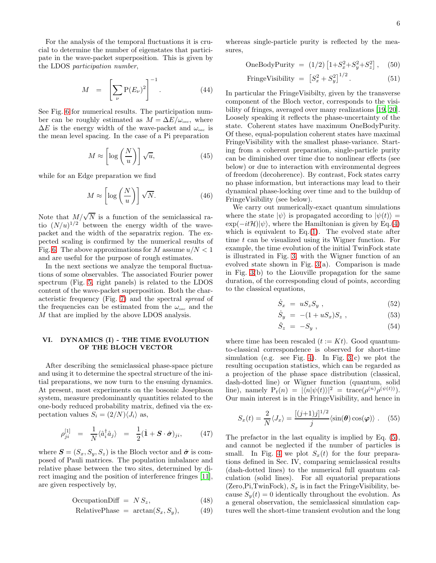For the analysis of the temporal fluctuations it is crucial to determine the number of eigenstates that participate in the wave-packet superposition. This is given by the LDOS participation number,

<span id="page-5-1"></span>
$$
M = \left[\sum_{\nu} P(E_{\nu})^2\right]^{-1}.
$$
 (44)

See Fig. [6](#page-17-0) for numerical results. The participation number can be roughly estimated as  $M = \Delta E/\omega_{\rm osc}$ , where  $\Delta E$  is the energy width of the wave-packet and  $\omega_{\rm osc}$  is the mean level spacing. In the case of a Pi preparation

<span id="page-5-3"></span>
$$
M \approx \left[ \log \left( \frac{N}{u} \right) \right] \sqrt{u},\tag{45}
$$

while for an Edge preparation we find

<span id="page-5-2"></span>
$$
M \approx \left[ \log \left( \frac{N}{u} \right) \right] \sqrt{N}.\tag{46}
$$

Note that  $M/\sqrt{N}$  is a function of the semiclassical ratio  $(N/u)^{1/2}$  between the energy width of the wavepacket and the width of the separatrix region. The expected scaling is confirmed by the numerical results of Fig. [6.](#page-17-0) The above approximations for M assume  $u/N < 1$ and are useful for the purpose of rough estimates.

In the next sections we analyze the temporal fluctuations of some observables. The associated Fourier power spectrum (Fig. [5,](#page-16-0) right panels) is related to the LDOS content of the wave-packet superposition. Both the characteristic frequency (Fig. [7\)](#page-17-1) and the spectral spread of the frequencies can be estimated from the  $\omega_{\rm osc}$  and the M that are implied by the above LDOS analysis.

# VI. DYNAMICS (I) - THE TIME EVOLUTION OF THE BLOCH VECTOR

After describing the semiclassical phase-space picture and using it to determine the spectral structure of the initial preparations, we now turn to the ensuing dynamics. At present, most experiments on the bosonic Josephson system, measure predominantly quantities related to the one-body reduced probability matrix, defined via the expectation values  $S_i = (2/N)\langle J_i \rangle$  as,

$$
\rho_{ji}^{[1]} = \frac{1}{N} \langle \hat{a}_i^{\dagger} \hat{a}_j \rangle = \frac{1}{2} (\hat{\mathbf{1}} + \mathbf{S} \cdot \hat{\boldsymbol{\sigma}})_{ji}, \qquad (47)
$$

where  $S = (S_x, S_y, S_z)$  is the Bloch vector and  $\hat{\sigma}$  is composed of Pauli matrices. The population imbalance and relative phase between the two sites, determined by direct imaging and the position of interference fringes [\[11\]](#page-13-8), are given respectively by,

$$
OccupationDiff = NS_z, \t(48)
$$

$$
RelativePhase = arctan(S_x, S_y), \t(49)
$$

whereas single-particle purity is reflected by the measures,

OneBodyPurity = 
$$
(1/2) [1 + S_x^2 + S_y^2 + S_z^2],
$$
 (50)

$$
\text{FringeV isibility} = \left[ S_x^2 + S_y^2 \right]^{1/2} . \tag{51}
$$

In particular the FringeVisibilty, given by the transverse component of the Bloch vector, corresponds to the visibility of fringes, averaged over many realizations [\[19,](#page-13-39) [20\]](#page-13-15). Loosely speaking it reflects the phase-uncertainty of the state. Coherent states have maximum OneBodyPurity. Of these, equal-population coherent states have maximal FringeVisibility with the smallest phase-variance. Starting from a coherent preparation, single-particle purity can be diminished over time due to nonlinear effects (see below) or due to interaction with environmental degrees of freedom (decoherence). By contrast, Fock states carry no phase information, but interactions may lead to their dynamical phase-locking over time and to the buildup of FringeVisibility (see below).

We carry out numerically-exact quantum simulations where the state  $|\psi\rangle$  is propagated according to  $|\psi(t)\rangle =$  $\exp(-it\mathcal{H})|\psi\rangle$ , where the Hamiltonian is given by Eq.[\(4\)](#page-1-1) which is equivalent to  $Eq.(1)$  $Eq.(1)$ . The evolved state after time t can be visualized using its Wigner function. For example, the time evolution of the initial TwinFock state is illustrated in Fig. [3,](#page-15-0) with the Wigner function of an evolved state shown in Fig. [3\(](#page-15-0)a). Comparison is made in Fig. [3\(](#page-15-0)b) to the Liouville propagation for the same duration, of the corresponding cloud of points, according to the classical equations,

$$
\dot{S}_x = u S_z S_y \t{,} \t(52)
$$

$$
\dot{S}_y = -(1 + uS_x)S_z , \qquad (53)
$$

$$
\dot{S}_z = -S_y \,, \tag{54}
$$

where time has been rescaled  $(t := Kt)$ . Good quantumto-classical correspondence is observed for short-time simulation (e.g. see Fig. [4\)](#page-15-1). In Fig.  $3(c)$  we plot the resulting occupation statistics, which can be regarded as a projection of the phase space distribution (classical, dash-dotted line) or Wigner function (quantum, solid line), namely  $P_t(n) = |\langle n | \psi(t) \rangle|^2 = \text{trace}(\rho^{(n)} \rho^{(\psi(t))}).$ Our main interest is in the FringeVisibility, and hence in

<span id="page-5-0"></span>
$$
S_x(t) = \frac{2}{N} \langle J_x \rangle = \frac{[(j+1)j]^{1/2}}{j} \langle \sin(\theta) \cos(\varphi) \rangle . \quad (55)
$$

The prefactor in the last equality is implied by Eq. [\(5\)](#page-1-3), and cannot be neglected if the number of particles is small. In Fig. [4](#page-15-1) we plot  $S_x(t)$  for the four preparations defined in Sec. IV, comparing semiclassical results (dash-dotted lines) to the numerical full quantum calculation (solid lines). For all equatorial preparations  $(Zero, Pi, TwinFock)$ ,  $S_x$  is in fact the FringeVisibility, because  $S_y(t) = 0$  identically throughout the evolution. As a general observation, the semiclassical simulation captures well the short-time transient evolution and the long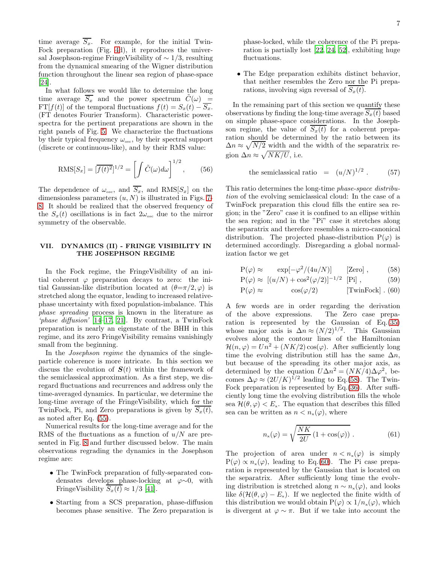time average  $\overline{S_x}$ . For example, for the initial Twin-Fock preparation (Fig. [4d](#page-15-1)), it reproduces the universal Josephson-regime FringeVisibility of ∼ 1/3, resulting from the dynamical smearing of the Wigner distribution function throughout the linear sea region of phase-space [\[24\]](#page-13-18).

In what follows we would like to determine the long time average  $\overline{S_x}$  and the power spectrum  $\tilde{C}(\omega)$  = FT[f(t)] of the temporal fluctuations  $f(t) = S_x(t) - \overline{S_x}$ . (FT denotes Fourier Transform). Characteristic powerspectra for the pertinent preparations are shown in the right panels of Fig. [5.](#page-16-0) We characterize the fluctuations by their typical frequency  $\omega_{\rm osc}$ , by their spectral support (discrete or continuous-like), and by their RMS value:

<span id="page-6-2"></span>
$$
RMS[S_x] = [\overline{f(t)^2}]^{1/2} = \left[ \int \tilde{C}(\omega) d\omega \right]^{1/2}, \qquad (56)
$$

The dependence of  $\omega_{\text{osc}}$ , and  $\overline{S_x}$ , and RMS $[S_x]$  on the dimensionless parameters  $(u, N)$  is illustrated in Figs. [7-](#page-17-1) [8.](#page-17-2) It should be realized that the observed frequency of the  $S_x(t)$  oscillations is in fact  $2\omega_{\rm osc}$  due to the mirror symmetry of the observable.

# VII. DYNAMICS (II) - FRINGE VISIBILITY IN THE JOSEPHSON REGIME

In the Fock regime, the FringeVisibility of an initial coherent  $\varphi$  preparation decays to zero: the initial Gaussian-like distribution located at  $(\theta = \pi/2, \varphi)$  is stretched along the equator, leading to increased relativephase uncertainty with fixed population-imbalance. This phase spreading process is known in the literature as 'phase diffusion' [\[14](#page-13-11)[–17](#page-13-13), [21](#page-13-16)]. By contrast, a TwinFock preparation is nearly an eigenstate of the BHH in this regime, and its zero FringeVisibility remains vanishingly small from the beginning.

In the *Josephson regime* the dynamics of the singleparticle coherence is more intricate. In this section we discuss the evolution of  $S(t)$  within the framework of the semiclassical approximation. As a first step, we disregard fluctuations and recurrences and address only the time-averaged dynamics. In particular, we determine the long-time average of the FringeVisibility, which for the TwinFock, Pi, and Zero preparations is given by  $S_x(t)$ , as noted after Eq. [\(55\)](#page-5-0).

Numerical results for the long-time average and for the RMS of the fluctuations as a function of  $u/N$  are presented in Fig. [8](#page-17-2) and further discussed below. The main observations regrading the dynamics in the Josephson regime are:

- The TwinFock preparation of fully-separated condensates develops phase-locking at  $\varphi \sim 0$ , with FringeVisibility  $\overline{S_x(t)} \approx 1/3$  [\[41\]](#page-13-31).
- Starting from a SCS preparation, phase-diffusion becomes phase sensitive. The Zero preparation is

phase-locked, while the coherence of the Pi preparation is partially lost [\[22,](#page-13-17) [24,](#page-13-18) [52\]](#page-13-40), exhibiting huge fluctuations.

• The Edge preparation exhibits distinct behavior, that neither resembles the Zero nor the Pi preparations, involving sign reversal of  $S_x(t)$ .

In the remaining part of this section we quantify these observations by finding the long-time average  $S_x(t)$  based on simple phase-space considerations. In the Josephson regime, the value of  $S_x(t)$  for a coherent preparation should be determined by the ratio between its  $\Delta n \approx \sqrt{N/2}$  width and the width of the separatrix region  $\Delta n \approx \sqrt{NK/U}$ , i.e.

<span id="page-6-3"></span>the semiclassical ratio = 
$$
(u/N)^{1/2}
$$
. (57)

This ratio determines the long-time phase-space distribution of the evolving semiclassical cloud: In the case of a TwinFock preparation this cloud fills the entire sea region; in the "Zero" case it is confined to an ellipse within the sea region; and in the "Pi" case it stretches along the separatrix and therefore resembles a micro-canonical distribution. The projected phase-distribution  $P(\varphi)$  is determined accordingly. Disregarding a global normalization factor we get

<span id="page-6-0"></span>
$$
P(\varphi) \approx \exp[-\varphi^2/(4u/N)] \qquad \text{[Zero]}, \qquad (58)
$$

$$
P(\varphi) \approx [(u/N) + \cos^2(\varphi/2)]^{-1/2}
$$
 [Pi], (59)

$$
P(\varphi) \approx \cos(\varphi/2) \qquad \qquad [\text{TwinFock}] \ . \ (60)
$$

A few words are in order regarding the derivation of the above expressions. The Zero case preparation is represented by the Gaussian of Eq.[\(35\)](#page-3-0) whose major axis is  $\Delta n \approx (N/2)^{1/2}$ . This Gaussian evolves along the contour lines of the Hamiltonian  $\mathcal{H}(n,\varphi) = Un^2 + (NK/2)\cos(\varphi)$ . After sufficiently long time the evolving distribution still has the same  $\Delta n$ , but because of the spreading its other major axis, as determined by the equation  $U\Delta n^2 = (NK/4)\Delta\varphi^2$ , becomes  $\Delta \varphi \approx (2U/K)^{1/2}$  leading to Eq.[\(58\)](#page-6-0). The Twin-Fock preparation is represented by Eq.[\(36\)](#page-3-2). After sufficiently long time the evolving distribution fills the whole sea  $\mathcal{H}(\theta, \varphi) < E_{\mathbf{x}}$ . The equation that describes this filled sea can be written as  $n < n_x(\varphi)$ , where

<span id="page-6-1"></span>
$$
n_{\rm x}(\varphi) = \sqrt{\frac{NK}{2U} \left(1 + \cos(\varphi)\right)} \ . \tag{61}
$$

The projection of area under  $n < n_x(\varphi)$  is simply  $P(\varphi) \propto n_{\rm x}(\varphi)$ , leading to Eq.[\(60\)](#page-6-0). The Pi case preparation is represented by the Gaussian that is located on the separatrix. After sufficiently long time the evolving distribution is stretched along  $n \sim n_x(\varphi)$ , and looks like  $\delta(\mathcal{H}(\theta,\varphi)-E_{x})$ . If we neglected the finite width of this distribution we would obtain  $P(\varphi) \propto 1/n_{\rm v}(\varphi)$ , which is divergent at  $\varphi \sim \pi$ . But if we take into account the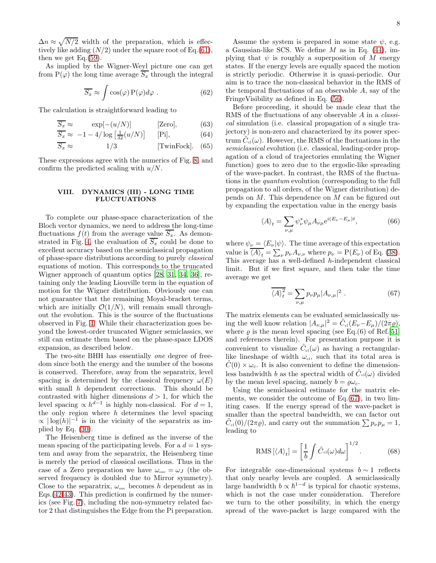$\Delta n \approx \sqrt{N/2}$  width of the preparation, which is effectively like adding  $(N/2)$  under the square root of Eq.[\(61\)](#page-6-1), then we get Eq.[\(59\)](#page-6-0).

As implied by the Wigner-Weyl picture one can get from  $P(\varphi)$  the long time average  $\overline{S_x}$  through the integral

$$
\overline{S_x} \approx \int \cos(\varphi) \, P(\varphi) d\varphi \; . \tag{62}
$$

The calculation is straightforward leading to

$$
\overline{S_x} \approx \exp[-(u/N)] \qquad \text{[Zero]}, \qquad (63)
$$

$$
\overline{S_x} \approx -1 - 4/\log\left[\frac{1}{32}(u/N)\right]
$$
 [Pi], \t(64)

$$
\overline{S_x} \approx 1/3
$$
 [TwinFock]. (65)

These expressions agree with the numerics of Fig. [8,](#page-17-2) and confirm the predicted scaling with  $u/N$ .

### VIII. DYNAMICS (III) - LONG TIME FLUCTUATIONS

To complete our phase-space characterization of the Bloch vector dynamics, we need to address the long-time fluctuations  $f(t)$  from the average value  $\overline{S_x}$ . As demon-strated in Fig. [4,](#page-15-1) the evaluation of  $\overline{S_x}$  could be done to excellent accuracy based on the semiclassical propagation of phase-space distributions according to purely classical equations of motion. This corresponds to the truncated Wigner approach of quantum optics [\[28,](#page-13-23) [31](#page-13-24), [34,](#page-13-25) [36](#page-13-26)], retaining only the leading Liouville term in the equation of motion for the Wigner distribution. Obviously one can not guarantee that the remaining Moyal-bracket terms, which are initially  $\mathcal{O}(1/N)$ , will remain small throughout the evolution. This is the source of the fluctuations observed in Fig. [4.](#page-15-1) While their characterization goes beyond the lowest-order truncated Wigner semiclassics, we still can estimate them based on the phase-space LDOS expansion, as described below.

The two-site BHH has essentially one degree of freedom since both the energy and the number of the bosons is conserved. Therefore, away from the separatrix, level spacing is determined by the classical frequency  $\omega(E)$ with small h dependent corrections. This should be contrasted with higher dimensions  $d > 1$ , for which the level spacing  $\propto h^{d-1}$  is highly non-classical. For  $d = 1$ , the only region where  $h$  determines the level spacing  $\propto |\log(h)|^{-1}$  is in the vicinity of the separatrix as implied by Eq.  $(30)$ .

The Heisenberg time is defined as the inverse of the mean spacing of the participating levels. For a  $d = 1$  system and away from the separatrix, the Heisenberg time is merely the period of classical oscillations. Thus in the case of a Zero preparation we have  $\omega_{\rm osc} = \omega_J$  (the observed frequency is doubled due to Mirror symmetry). Close to the separatrix,  $\omega_{\text{osc}}$  becomes h dependent as in Eqs.[\(42-](#page-4-2)[43\)](#page-4-3). This prediction is confirmed by the numerics (see Fig. [7\)](#page-17-1), including the non-symmetry related factor 2 that distinguishes the Edge from the Pi preparation.

Assume the system is prepared in some state  $\psi$ , e.g. a Gaussian-like SCS. We define  $M$  as in Eq. [\(44\)](#page-5-1), implying that  $\psi$  is roughly a superposition of M energy states. If the energy levels are equally spaced the motion is strictly periodic. Otherwise it is quasi-periodic. Our aim is to trace the non-classical behavior in the RMS of the temporal fluctuations of an observable  $A$ , say of the FringeVisibility as defined in Eq. [\(56\)](#page-6-2).

Before proceeding, it should be made clear that the RMS of the fluctuations of any observable A in a *classi*cal simulation (i.e. classical propagation of a single trajectory) is non-zero and characterized by its power spectrum  $\tilde{C}_{\text{cl}}(\omega)$ . However, the RMS of the fluctuations in the semiclassical evolution (i.e. classical, leading-order propagation of a cloud of trajectories emulating the Wigner function) goes to zero due to the ergodic-like spreading of the wave-packet. In contrast, the RMS of the fluctuations in the quantum evolution (corresponding to the full propagation to all orders, of the Wigner distribution) depends on M. This dependence on M can be figured out by expanding the expectation value in the energy basis

$$
\langle A \rangle_t = \sum_{\nu,\mu} \psi_\nu^* \psi_\mu A_{\nu\mu} e^{i(E_\nu - E_\mu)t},\tag{66}
$$

where  $\psi_{\nu} = \langle E_{\nu} | \psi \rangle$ . The time average of this expectation value is  $\langle A \rangle_t = \sum_{\nu} p_{\nu} A_{\nu,\nu}$  where  $p_{\nu} = P(E_{\nu})$  of Eq. [\(38\)](#page-4-1). This average has a well-defined h-independent classical limit. But if we first square, and then take the time average we get

<span id="page-7-0"></span>
$$
\overline{\langle A \rangle_t^2} = \sum_{\nu,\mu} p_{\nu} p_{\mu} |A_{\nu,\mu}|^2 \ . \tag{67}
$$

The matrix elements can be evaluated semiclassically using the well know relation  $|A_{\nu,\mu}|^2 = \tilde{C}_{\text{cl}}(E_{\nu} - E_{\mu})/(2\pi\varrho),$ where  $\rho$  is the mean level spacing (see Eq.(6) of Ref.[\[51](#page-13-41)] and references therein). For presentation purpose it is convenient to visualize  $\tilde{C}_{\text{cl}}(\omega)$  as having a rectangularlike lineshape of width  $\omega_{\rm cl}$ , such that its total area is  $C(0) \times \omega_c$ . It is also convenient to define the dimensionless bandwidth b as the spectral width of  $\tilde{C}_{cl}(\omega)$  divided by the mean level spacing, namely  $b = \rho \omega_c$ .

Using the semiclassical estimate for the matrix elements, we consider the outcome of  $Eq.(67)$  $Eq.(67)$ , in two limiting cases. If the energy spread of the wave-packet is smaller than the spectral bandwidth, we can factor out  $\tilde{C}_{\text{cl}}(0)/(2\pi\rho)$ , and carry out the summation  $\sum p_{\nu}p_{\mu}=1$ , leading to

RMS 
$$
[\langle A \rangle_t] = \left[\frac{1}{b} \int \tilde{C}_{\text{el}}(\omega) d\omega\right]^{1/2}
$$
. (68)

For integrable one-dimensional systems  $b \sim 1$  reflects that only nearby levels are coupled. A semiclassically large bandwidth  $b \propto \hbar^{1-d}$  is typical for chaotic systems, which is not the case under consideration. Therefore we turn to the other possibility, in which the energy spread of the wave-packet is large compared with the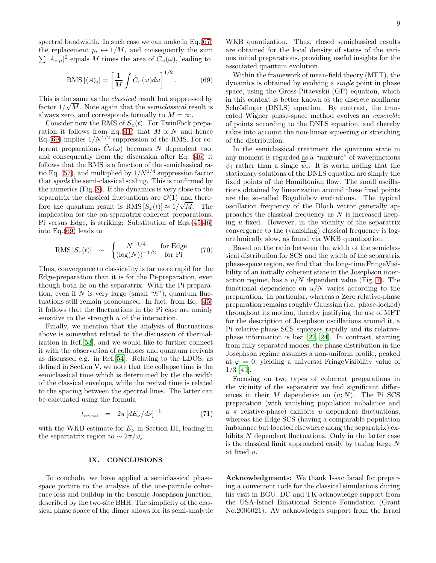spectral bandwidth. In such case we can make in Eq.[\(67\)](#page-7-0) the replacement  $p_{\nu} \mapsto 1/M$ , and consequently the sum  $\sum |A_{\nu,\mu}|^2$  equals M times the area of  $\tilde{C}_{\text{cl}}(\omega)$ , leading to

<span id="page-8-0"></span>
$$
\text{RMS} \left[ \langle A \rangle_t \right] = \left[ \frac{1}{M} \int \tilde{C}_{\text{el}}(\omega) d\omega \right]^{1/2}.
$$
 (69)

This is the same as the *classical* result but suppressed by Fins is the same as the classical result but suppressed by factor  $1/\sqrt{M}$ . Note again that the *semiclassical* result is always zero, and corresponds formally to  $M = \infty$ .

Consider now the RMS of  $S<sub>x</sub>(t)$ . For TwinFock prepa-ration it follows from Eq.[\(41\)](#page-4-4) that  $M \propto N$  and hence Eq.[\(69\)](#page-8-0) implies  $1/N^{1/2}$  suppression of the RMS. For coherent preparations  $\tilde{C}_{c}(\omega)$  becomes N dependent too, and consequently from the discussion after Eq. [\(46\)](#page-5-2) it follows that the RMS is a function of the semiclassical ra-tio Eq. [\(57\)](#page-6-3), and multiplied by  $1/N^{1/4}$  suppression factor that spoils the semi-classical scaling. This is confirmed by the numerics (Fig. [8\)](#page-17-2). If the dynamics is very close to the separatrix the classical fluctuations are  $\mathcal{O}(1)$  and therefore the quantum result is  $\text{RMS} [S_x(t)] \approx 1/\sqrt{M}$ . The implication for the on-separatrix coherent preparations, Pi versus Edge, is striking: Substitution of Eqs.[\(45](#page-5-3)[-46\)](#page-5-2) into Eq.[\(69\)](#page-8-0) leads to

<span id="page-8-1"></span>
$$
RMS[S_x(t)] \sim \begin{cases} N^{-1/4} & \text{for Edge} \\ (\log(N))^{-1/2} & \text{for Pi} \end{cases} (70)
$$

Thus, convergence to classicality is far more rapid for the Edge-preparation than it is for the Pi-preparation, even though both lie on the separatrix. With the Pi preparation, even if N is very large (small " $h$ "), quantum fluctuations still remain pronounced. In fact, from Eq. [\(45\)](#page-5-3) it follows that the fluctuations in the Pi case are mainly sensitive to the strength u of the interaction.

Finally, we mention that the analysis of fluctuations above is somewhat related to the discussion of thermalization in Ref.[\[53\]](#page-13-42), and we would like to further connect it with the observation of collapses and quantum revivals as discussed e.g. in Ref.[\[54\]](#page-13-43). Relating to the LDOS, as defined in Section V, we note that the collapse time is the semiclassical time which is determined by the the width of the classical envelope, while the revival time is related to the spacing between the spectral lines. The latter can be calculated using the formula

$$
t_{\text{revival}} = 2\pi \left[ dE_{\nu}/d\nu \right]^{-1} \tag{71}
$$

with the WKB estimate for  $E_{\nu}$  in Section III, leading in the separtatrix region to  $\sim 2\pi/\omega_{\rm x}$ .

### IX. CONCLUSIONS

To conclude, we have applied a semiclassical phasespace picture to the analysis of the one-particle coherence loss and buildup in the bosonic Josephson junction, described by the two-site BHH. The simplicity of the classical phase space of the dimer allows for its semi-analytic

WKB quantization. Thus, closed semiclassical results are obtained for the local density of states of the various initial preparations, providing useful insights for the associated quantum evolution.

Within the framework of mean-field theory (MFT), the dynamics is obtained by evolving a single point in phase space, using the Gross-Pitaevskii (GP) equation, which in this context is better known as the discrete nonlinear Schrödinger (DNLS) equation. By contrast, the truncated Wigner phase-space method evolves an ensemble of points according to the DNLS equation, and thereby takes into account the non-linear squeezing or stretching of the distribution.

In the semiclassical treatment the quantum state in any moment is regarded as a "mixture" of wavefunctions  $\psi_i$  rather than a single  $\psi_i$ . It is worth noting that the stationary solutions of the DNLS equation are simply the fixed points of the Hamiltonian flow. The small oscillations obtained by linearization around these fixed points are the so-called Bogoliubov excitations. The typical oscillation frequency of the Bloch vector generally approaches the classical frequency as  $N$  is increased keeping  $u$  fixed. However, in the vicinity of the separatrix convergence to the (vanishing) classical frequency is logarithmically slow, as found via WKB quantization.

Based on the ratio between the width of the semiclassical distribution for SCS and the width of the separatrix phase-space region, we find that the long-time FringeVisibility of an initially coherent state in the Josephson interaction regime, has a  $u/N$  dependent value (Fig. [7\)](#page-17-1). The functional dependence on  $u/N$  varies according to the preparation. In particular, whereas a Zero relative-phase preparation remains roughly Gaussian (i.e. phase-locked) throughout its motion, thereby justifying the use of MFT for the description of Josephson oscillations around it, a Pi relative-phase SCS squeezes rapidly and its relativephase information is lost [\[22,](#page-13-17) [24](#page-13-18)]. In contrast, starting from fully separated modes, the phase distribution in the Josephson regime assumes a non-uniform profile, peaked at  $\varphi = 0$ , yielding a universal FringeVisibility value of 1/3 [\[41](#page-13-31)].

Focusing on two types of coherent preparations in the vicinity of the separatrix we find significant differences in their  $M$  dependence on  $(u; N)$ . The Pi SCS preparation (with vanishing population imbalance and a  $\pi$  relative-phase) exhibits u dependent fluctuations, whereas the Edge SCS (having a comparable population imbalance but located elsewhere along the separatrix) exhibits N dependent fluctuations. Only in the latter case is the classical limit approached easily by taking large N at fixed u.

Acknowledgments: We thank Issac Israel for preparing a convenient code for the classical simulations during his visit in BGU. DC and TK acknowledge support from the USA-Israel Binational Science Foundation (Grant No.2006021). AV acknowledges support from the Israel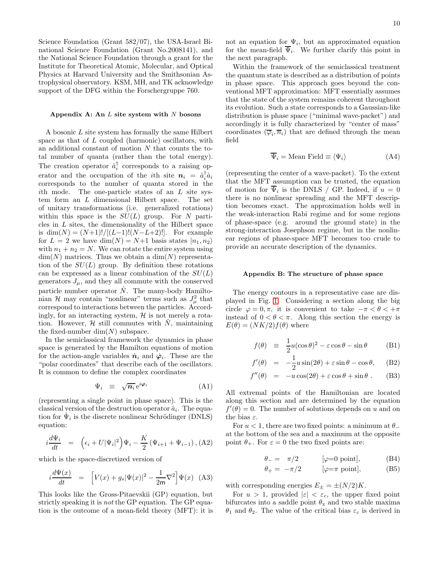Science Foundation (Grant 582/07), the USA-Israel Binational Science Foundation (Grant No.2008141), and the National Science Foundation through a grant for the Institute for Theoretical Atomic, Molecular, and Optical Physics at Harvard University and the Smithsonian Astrophysical observatory. KSM, MH, and TK acknowledge support of the DFG within the Forschergruppe 760.

#### Appendix A: An  $L$  site system with  $N$  bosons

A bosonic L site system has formally the same Hilbert space as that of L coupled (harmonic) oscillators, with an additional constant of motion N that counts the total number of quanta (rather than the total energy). The creation operator  $\hat{a}_i^{\dagger}$  corresponds to a raising operator and the occupation of the *i*<sup>th</sup> site  $n_i = \hat{a}_i^{\dagger} \hat{a}_i$ corresponds to the number of quanta stored in the ith mode. The one-particle states of an L site system form an L dimensional Hilbert space. The set of unitary transformations (i.e. generalized rotations) within this space is the  $SU(L)$  group. For N particles in L sites, the dimensionality of the Hilbert space is  $\dim(N) = (N+1)!/[(L-1)!(N-L+2)!]$ . For example for  $L = 2$  we have  $\dim(N) = N+1$  basis states  $|n_1, n_2\rangle$ with  $n_1 + n_2 = N$ . We can rotate the entire system using  $\dim(N)$  matrices. Thus we obtain a  $\dim(N)$  representation of the  $SU(L)$  group. By definition these rotations can be expressed as a linear combination of the  $SU(L)$ generators  $J_{\mu}$ , and they all commute with the conserved particle number operator  $\tilde{N}$ . The many-body Hamiltonian H may contain "nonlinear" terms such as  $J^2_\mu$  that correspond to interactions between the particles. Accordingly, for an interacting system,  $\mathcal{H}$  is not merely a rotation. However,  $\mathcal H$  still commutes with  $\hat N$ , maintaining the fixed-number  $\dim(N)$  subspace.

In the semiclassical framework the dynamics in phase space is generated by the Hamilton equations of motion for the action-angle variables  $\dot{n}_i$  and  $\dot{\varphi}_i$ . These are the "polar coordinates" that describe each of the oscillators. It is common to define the complex coordinates

$$
\Psi_i \equiv \sqrt{n_i} \,\mathrm{e}^{i\boldsymbol{\varphi}_i} \tag{A1}
$$

(representing a single point in phase space). This is the classical version of the destruction operator  $\hat{a}_i$ . The equation for  $\Psi_i$  is the discrete nonlinear Schrödinger (DNLS) equation:

$$
i\frac{d\Psi_i}{dt} = \left(\epsilon_i + U|\Psi_i|^2\right)\Psi_i - \frac{K}{2}\left(\Psi_{i+1} + \Psi_{i-1}\right),\text{(A2)}
$$

which is the space-discretized version of

$$
i\frac{d\Psi(x)}{dt} = \left[V(x) + g_s|\Psi(x)|^2 - \frac{1}{2m}\nabla^2\right]\Psi(x) \quad \text{(A3)}
$$

This looks like the Gross-Pitaevskii (GP) equation, but strictly speaking it is not the GP equation. The GP equation is the outcome of a mean-field theory (MFT): it is

not an equation for  $\Psi_i$ , but an approximated equation for the mean-field  $\Psi_i$ . We further clarify this point in the next paragraph.

Within the framework of the semiclassical treatment the quantum state is described as a distribution of points in phase space. This approach goes beyond the conventional MFT approximation: MFT essentially assumes that the state of the system remains coherent throughout its evolution. Such a state corresponds to a Gaussian-like distribution is phase space ("minimal wave-packet") and accordingly it is fully characterized by "center of mass" coordinates  $(\overline{\varphi}_i, \overline{n}_i)$  that are defined through the mean field

$$
\overline{\Psi}_i = \text{Mean Field} \equiv \langle \Psi_i \rangle \tag{A4}
$$

(representing the center of a wave-packet). To the extent that the MFT assumption can be trusted, the equation of motion for  $\Psi_i$  is the DNLS / GP. Indeed, if  $u = 0$ there is no nonlinear spreading and the MFT description becomes exact. The approximation holds well in the weak-interaction Rabi regime and for some regions of phase-space (e.g. around the ground state) in the strong-interaction Josephson regime, but in the nonlinear regions of phase-space MFT becomes too crude to provide an accurate description of the dynamics.

#### Appendix B: The structure of phase space

The energy contours in a representative case are displayed in Fig. [1.](#page-14-0) Considering a section along the big circle  $\varphi = 0, \pi$ , it is convenient to take  $-\pi < \theta < +\pi$ instead of  $0 < \theta < \pi$ . Along this section the energy is  $E(\theta) = (NK/2) f(\theta)$  where

$$
f(\theta) \equiv \frac{1}{2}u(\cos\theta)^2 - \varepsilon\cos\theta - \sin\theta \qquad (B1)
$$

$$
f'(\theta) = -\frac{1}{2}u\sin(2\theta) + \varepsilon\sin\theta - \cos\theta, \quad \text{(B2)}
$$

$$
f''(\theta) = -u\cos(2\theta) + \varepsilon\cos\theta + \sin\theta.
$$
 (B3)

All extremal points of the Hamiltonian are located along this section and are determined by the equation  $f'(\theta) = 0$ . The number of solutions depends on u and on the bias  $\varepsilon$ .

For  $u < 1$ , there are two fixed points: a minimum at  $\theta_$ at the bottom of the sea and a maximum at the opposite point  $\theta_+$ . For  $\varepsilon = 0$  the two fixed points are:

$$
\theta_- = \pi/2 \qquad [\varphi=0 \text{ point}], \qquad (B4)
$$

$$
\theta_{+} = -\pi/2 \qquad [\varphi = \pi \text{ point}], \qquad (B5)
$$

with corresponding energies  $E_{\pm} = \pm (N/2)K$ .

For  $u > 1$ , provided  $|\varepsilon| < \varepsilon_c$ , the upper fixed point bifurcates into a saddle point  $\theta_x$  and two stable maxima  $\theta_1$  and  $\theta_2$ . The value of the critical bias  $\varepsilon_c$  is derived in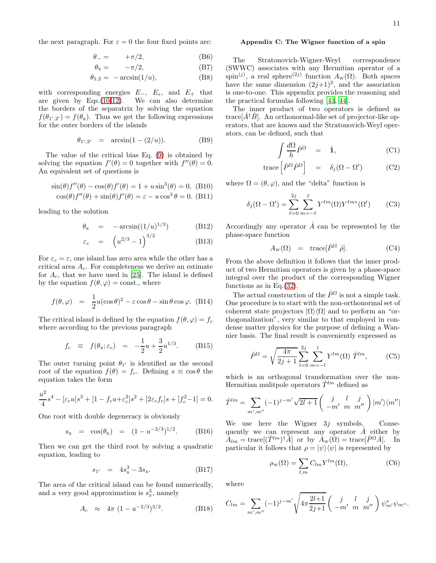the next paragraph. For  $\varepsilon = 0$  the four fixed points are:

$$
\theta_- = -\pi/2, \tag{B6}
$$

$$
\theta_{\rm x} = -\pi/2, \tag{B7}
$$

$$
\theta_{1,2} = -\arcsin(1/u),\tag{B8}
$$

with corresponding energies  $E_-, E_x$ , and  $E_+$  that are given by Eqs.[\(10-12\)](#page-1-4). We can also determine the borders of the separatrix by solving the equation  $f(\theta_{1',2'}) = f(\theta_{\rm x})$ . Thus we get the following expressions for the outer borders of the islands

$$
\theta_{1',2'} = \arcsin(1 - (2/u)). \tag{B9}
$$

The value of the critical bias Eq. [\(9\)](#page-1-5) is obtained by solving the equation  $f'(\theta) = 0$  together with  $f''(\theta) = 0$ . An equivalent set of questions is

$$
\sin(\theta)f''(\theta) - \cos(\theta)f'(\theta) = 1 + u\sin^3(\theta) = 0, \text{ (B10)}
$$

$$
\cos(\theta)f''(\theta) + \sin(\theta)f'(\theta) = \varepsilon - u\cos^3\theta = 0. \text{ (B11)}
$$

leading to the solution

$$
\theta_{\mathbf{x}} = -\arcsin((1/u)^{1/3}) \tag{B12}
$$

$$
\varepsilon_c = \left( u^{2/3} - 1 \right)^{3/2} \tag{B13}
$$

For  $\varepsilon_c = \varepsilon$ , one island has zero area while the other has a critical area  $A_c$ . For completeness we derive an estimate for  $A_c$ , that we have used in [\[25](#page-13-19)]. The island is defined by the equation  $f(\theta, \varphi) = \text{const.}$ , where

$$
f(\theta, \varphi) = \frac{1}{2}u(\cos \theta)^2 - \varepsilon \cos \theta - \sin \theta \cos \varphi. \quad (B14)
$$

The critical island is defined by the equation  $f(\theta, \varphi) = f_c$ where according to the previous paragraph

$$
f_c \equiv f(\theta_x; \varepsilon_c) = -\frac{1}{2}u + \frac{3}{2}u^{1/3}.
$$
 (B15)

The outer turning point  $\theta_{1'}$  is identified as the second root of the equation  $f(\theta) = f_c$ . Defining  $s \equiv \cos \theta$  the equation takes the form

$$
\frac{u^2}{4}s^4 - [\varepsilon_c u]s^3 + [1 - f_c u + \varepsilon_c^2]s^2 + [2\varepsilon_c f_c]s + [f_c^2 - 1] = 0.
$$

One root with double degeneracy is obviously

$$
s_{x} = \cos(\theta_{x}) = (1 - u^{-2/3})^{1/2}.
$$
 (B16)

Then we can get the third root by solving a quadratic equation, leading to

$$
s_{1'} = 4s_{\rm x}^3 - 3s_{\rm x}.\tag{B17}
$$

The area of the critical island can be found numerically, and a very good approximation is  $s_x^3$ , namely

$$
A_c \approx 4\pi (1 - u^{-2/3})^{3/2}.
$$
 (B18)

#### Appendix C: The Wigner function of a spin

The Stratonovich-Wigner-Weyl correspondence (SWWC) associates with any Hermitian operator of a spin<sup>(j)</sup>, a real sphere<sup>(2j)</sup> function  $A_w(\Omega)$ . Both spaces have the same dimension  $(2j+1)^2$ , and the association is one-to-one. This appendix provides the reasoning and the practical formulas following [\[43,](#page-13-29) [44\]](#page-13-30).

The inner product of two operators is defined as trace $[\hat{A}^{\dagger} \hat{B}]$ . An orthonormal-like set of projector-like operators, that are knows and the Stratonovich-Weyl operators, can be defined, such that

$$
\int \frac{d\Omega}{h} \hat{P}^{\Omega} = \hat{\mathbf{1}}, \tag{C1}
$$

$$
\text{trace}\left[\hat{P}^{\Omega}\hat{P}^{\Omega}\right] = \delta_j(\Omega - \Omega') \tag{C2}
$$

where  $\Omega = (\theta, \varphi)$ , and the "delta" function is

$$
\delta_j(\Omega - \Omega') = \sum_{\ell=0}^{2j} \sum_{m=-\ell}^{\ell} Y^{\ell m}(\Omega) Y^{\ell m*}(\Omega') \qquad (C3)
$$

Accordingly any operator  $\hat{A}$  can be represented by the phase-space function

$$
A_{\rm w}(\Omega) = \text{trace}[\hat{P}^{\Omega} \hat{\rho}]. \qquad (C4)
$$

From the above definition it follows that the inner product of two Hermitian operators is given by a phase-space integral over the product of the corresponding Wigner functions as in Eq.[\(32\)](#page-3-4).

The actual construction of the  $\hat{P}^{\Omega}$  is not a simple task. One procedure is to start with the non-orthonormal set of coherent state projectors  $|\Omega\rangle\langle\Omega|$  and to perform an "orthogonalization", very similar to that employed in condense matter physics for the purpose of defining a Wannier basis. The final result is conveniently expressed as

$$
\hat{P}^{\Omega} = \sqrt{\frac{4\pi}{2j+1}} \sum_{l=0}^{2j} \sum_{m=-l}^{l} Y^{lm}(\Omega) \hat{T}^{lm}, \qquad \text{(C5)}
$$

which is an orthogonal transformation over the non-Hermitian mulitpole operators  $\hat{T}^{lm}$  defined as

$$
\hat{T}^{lm} = \sum_{m',m''} (-1)^{j-m'} \sqrt{2l+1} \begin{pmatrix} j & l & j \\ -m' & m & m'' \end{pmatrix} |m'\rangle \langle m''|
$$

We use here the Wigner  $3j$  symbols. Consequently we can represent any operator  $\tilde{A}$  either by  $A_{lm} = \text{trace}[(\hat{T}^{lm})^{\dagger}\hat{A}]$  or by  $A_{\text{w}}(\Omega) = \text{trace}[\hat{P}^{\Omega}\hat{A}].$  In particular it follows that  $\rho = |\psi\rangle\langle\psi|$  is represented by

$$
\rho_{\mathbf{w}}(\Omega) = \sum_{l,m} C_{lm} Y^{lm}(\Omega),\tag{C6}
$$

where

$$
C_{lm} = \sum_{m',m''} (-1)^{j-m'} \sqrt{4\pi \frac{2l+1}{2j+1}} \left( \begin{array}{cc} j & l & j \\ -m' & m & m'' \end{array} \right) \psi_{m'}^* \psi_{m''}.
$$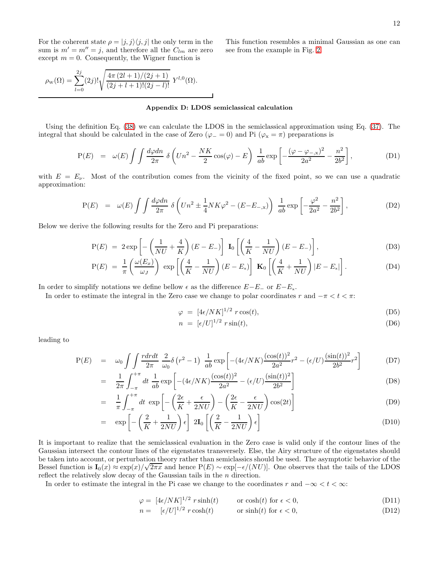For the coherent state  $\rho = |j, j\rangle \langle j, j|$  the only term in the sum is  $m' = m'' = j$ , and therefore all the  $C_{lm}$  are zero except  $m = 0$ . Consequently, the Wigner function is

This function resembles a minimal Gaussian as one can see from the example in Fig. [2.](#page-14-1)

$$
\rho_{\rm w}(\Omega) = \sum_{l=0}^{2j} (2j)! \sqrt{\frac{4\pi (2l+1)/(2j+1)}{(2j+l+1)!(2j-l)!}} \; Y^{l,0}(\Omega).
$$

#### <span id="page-11-0"></span>Appendix D: LDOS semiclassical calculation

Using the definition Eq. [\(38\)](#page-4-1) we can calculate the LDOS in the semiclassical approximation using Eq. [\(37\)](#page-4-0). The integral that should be calculated in the case of Zero ( $\varphi = 0$ ) and Pi ( $\varphi_x = \pi$ ) preparations is

$$
P(E) = \omega(E) \int \int \frac{d\varphi dn}{2\pi} \delta \left( Un^2 - \frac{NK}{2} \cos(\varphi) - E \right) \frac{1}{ab} \exp \left[ -\frac{(\varphi - \varphi_{-,x})^2}{2a^2} - \frac{n^2}{2b^2} \right],
$$
 (D1)

with  $E = E_{\nu}$ . Most of the contribution comes from the vicinity of the fixed point, so we can use a quadratic approximation:

$$
P(E) = \omega(E) \int \int \frac{d\varphi d\eta}{2\pi} \delta \left( U n^2 \pm \frac{1}{4} N K \varphi^2 - (E - E_{-\alpha}) \right) \frac{1}{ab} \exp \left[ -\frac{\varphi^2}{2a^2} - \frac{n^2}{2b^2} \right],
$$
 (D2)

Below we derive the following results for the Zero and Pi preparations:

$$
P(E) = 2 \exp\left[-\left(\frac{1}{NU} + \frac{4}{K}\right)(E - E_{-})\right] I_0 \left[\left(\frac{4}{K} - \frac{1}{NU}\right)(E - E_{-})\right],
$$
\n(D3)

$$
P(E) = \frac{1}{\pi} \left( \frac{\omega(E_x)}{\omega_J} \right) \exp \left[ \left( \frac{4}{K} - \frac{1}{NU} \right) (E - E_x) \right] \mathbf{K}_0 \left[ \left( \frac{4}{K} + \frac{1}{NU} \right) |E - E_x| \right]. \tag{D4}
$$

In order to simplify notations we define bellow  $\epsilon$  as the difference  $E-E_-\,$  or  $E-E_x$ .

In order to estimate the integral in the Zero case we change to polar coordinates r and  $-\pi < t < \pi$ :

$$
\varphi = [4\epsilon / NK]^{1/2} r \cos(t), \tag{D5}
$$

$$
n = [\epsilon/U]^{1/2} r \sin(t), \tag{D6}
$$

leading to

$$
P(E) = \omega_0 \int \int \frac{r dr dt}{2\pi} \frac{2}{\omega_0} \delta(r^2 - 1) \frac{1}{ab} \exp\left[ -(4\epsilon/NK) \frac{(\cos(t))^2}{2a^2} r^2 - (\epsilon/U) \frac{(\sin(t))^2}{2b^2} r^2 \right] \tag{D7}
$$

$$
= \frac{1}{2\pi} \int_{-\pi}^{+\pi} dt \frac{1}{ab} \exp\left[ -(4\epsilon/NK) \frac{(\cos(t))^2}{2a^2} - (\epsilon/U) \frac{(\sin(t))^2}{2b^2} \right]
$$
(D8)

$$
= \frac{1}{\pi} \int_{-\pi}^{+\pi} dt \exp\left[-\left(\frac{2\epsilon}{K} + \frac{\epsilon}{2NU}\right) - \left(\frac{2\epsilon}{K} - \frac{\epsilon}{2NU}\right)\cos(2t)\right]
$$
(D9)

$$
= \exp\left[-\left(\frac{2}{K} + \frac{1}{2NU}\right)\epsilon\right] 2\mathbf{I}_0 \left[\left(\frac{2}{K} - \frac{1}{2NU}\right)\epsilon\right]
$$
 (D10)

It is important to realize that the semiclassical evaluation in the Zero case is valid only if the contour lines of the Gaussian intersect the contour lines of the eigenstates transversely. Else, the Airy structure of the eigenstates should be taken into account, or perturbation theory rather than semiclassics should be used. The asymptotic behavior of the Bessel function is  $I_0(x) \approx \exp(x)/\sqrt{2\pi x}$  and hence  $P(E) \sim \exp[-\epsilon/(NU)]$ . One observes that the tails of the LDOS reflect the relatively slow decay of the Gaussian tails in the n direction.

In order to estimate the integral in the Pi case we change to the coordinates r and  $-\infty < t < \infty$ :

$$
\varphi = [4\epsilon/NK]^{1/2} r \sinh(t) \qquad \text{or } \cosh(t) \text{ for } \epsilon < 0,
$$
 (D11)

$$
n = \left[ \epsilon / U \right]^{1/2} r \cosh(t) \qquad \text{or } \sinh(t) \text{ for } \epsilon < 0,\tag{D12}
$$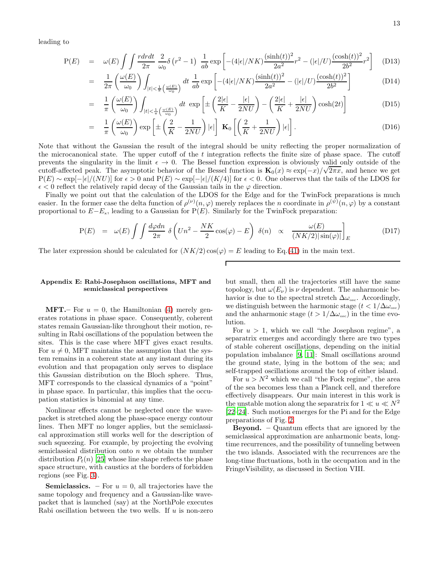leading to

$$
P(E) = \omega(E) \int \int \frac{r dr dt}{2\pi} \frac{2}{\omega_0} \delta(r^2 - 1) \frac{1}{ab} \exp \left[ -(4|\epsilon|/NK) \frac{(\sinh(t))^2}{2a^2} r^2 - (|\epsilon|/U) \frac{(\cosh(t))^2}{2b^2} r^2 \right] \tag{D13}
$$

$$
= \frac{1}{2\pi} \left(\frac{\omega(E)}{\omega_0}\right) \int_{|t| < \frac{1}{\pi} \left(\frac{\omega(E)}{\omega_0}\right)} dt \frac{1}{ab} \exp\left[-(4|\epsilon|/NK) \frac{(\sinh(t))^2}{2a^2} - (|\epsilon|/U) \frac{(\cosh(t))^2}{2b^2}\right] \tag{D14}
$$

$$
= \frac{1}{\pi} \left( \frac{\omega(E)}{\omega_0} \right) \int_{|t| < \frac{1}{\pi} \left( \frac{\omega(E)}{\omega_0} \right)} dt \, \exp\left[ \pm \left( \frac{2|\epsilon|}{K} - \frac{|\epsilon|}{2NU} \right) - \left( \frac{2|\epsilon|}{K} + \frac{|\epsilon|}{2NU} \right) \cosh(2t) \right] \tag{D15}
$$

$$
= \frac{1}{\pi} \left( \frac{\omega(E)}{\omega_0} \right) \exp \left[ \pm \left( \frac{2}{K} - \frac{1}{2NU} \right) |\epsilon| \right] \mathbf{K}_0 \left[ \left( \frac{2}{K} + \frac{1}{2NU} \right) |\epsilon| \right]. \tag{D16}
$$

Note that without the Gaussian the result of the integral should be unity reflecting the proper normalization of the microcanonical state. The upper cutoff of the  $t$  integration reflects the finite size of phase space. The cutoff prevents the singularity in the limit  $\epsilon \to 0$ . The Bessel function expression is obviously valid only outside of the cutoff-affected peak. The asymptotic behavior of the Bessel function is  $\mathbf{K}_0(x) \approx \exp(-x)/\sqrt{2\pi x}$ , and hence we get  $P(E) \sim \exp[-|\epsilon|/(NU)]$  for  $\epsilon > 0$  and  $P(E) \sim \exp[-|\epsilon|/(K/4)]$  for  $\epsilon < 0$ . One observes that the tails of the LDOS for  $\epsilon$  < 0 reflect the relatively rapid decay of the Gaussian tails in the  $\varphi$  direction.

Finally we point out that the calculation of the LDOS for the Edge and for the TwinFock preparations is much easier. In the former case the delta function of  $\rho^{(\nu)}(n,\varphi)$  merely replaces the *n* coordinate in  $\rho^{(\psi)}(n,\varphi)$  by a constant proportional to  $E-E_x$ , leading to a Gaussian for P(E). Similarly for the TwinFock preparation:

$$
P(E) = \omega(E) \int \int \frac{d\varphi d\eta}{2\pi} \delta \left( U n^2 - \frac{NK}{2} \cos(\varphi) - E \right) \delta(n) \propto \frac{\omega(E)}{(NK/2)|\sin(\varphi)|} \Big|_{E} \tag{D17}
$$

The later expression should be calculated for  $(NK/2) \cos(\varphi) = E$  leading to Eq.[\(41\)](#page-4-4) in the main text.

### Appendix E: Rabi-Josephson oscillations, MFT and semiclassical perspectives

**MFT.**– For  $u = 0$ , the Hamiltonian [\(4\)](#page-1-1) merely generates rotations in phase space. Consequently, coherent states remain Gaussian-like throughout their motion, resulting in Rabi oscillations of the population between the sites. This is the case where MFT gives exact results. For  $u \neq 0$ , MFT maintains the assumption that the system remains in a coherent state at any instant during its evolution and that propagation only serves to displace this Gaussian distribution on the Bloch sphere. Thus, MFT corresponds to the classical dynamics of a "point" in phase space. In particular, this implies that the occupation statistics is binomial at any time.

Nonlinear effects cannot be neglected once the wavepacket is stretched along the phase-space energy contour lines. Then MFT no longer applies, but the semiclassical approximation still works well for the description of such squeezing. For example, by projecting the evolving semiclassical distribution onto  $n$  we obtain the number distribution  $P_t(n)$  [\[25](#page-13-19)] whose line shape reflects the phase space structure, with caustics at the borders of forbidden regions (see Fig. [3\)](#page-15-0).

**Semiclassics.** – For  $u = 0$ , all trajectories have the same topology and frequency and a Gaussian-like wavepacket that is launched (say) at the NorthPole executes Rabi oscillation between the two wells. If  $u$  is non-zero

but small, then all the trajectories still have the same topology, but  $\omega(E_{\nu})$  is  $\nu$  dependent. The anharmonic behavior is due to the spectral stretch  $\Delta\omega_{\rm osc}$ . Accordingly, we distinguish between the harmonic stage  $(t < 1/\Delta \omega_{\text{osc}})$ and the anharmonic stage  $(t > 1/\Delta\omega_{\rm osc})$  in the time evolution.

For  $u > 1$ , which we call "the Josephson regime", a separatrix emerges and accordingly there are two types of stable coherent oscillations, depending on the initial population imbalance [\[9](#page-13-6), [11\]](#page-13-8): Small oscillations around the ground state, lying in the bottom of the sea; and self-trapped oscillations around the top of either island.

For  $u > N^2$  which we call "the Fock regime", the area of the sea becomes less than a Planck cell, and therefore effectively disappears. Our main interest in this work is the unstable motion along the separatrix for  $1 \ll u \ll N^2$ [\[22](#page-13-17)[–24\]](#page-13-18). Such motion emerges for the Pi and for the Edge preparations of Fig. [2.](#page-14-1)

Beyond. – Quantum effects that are ignored by the semiclassical approximation are anharmonic beats, longtime recurrences, and the possibility of tunneling between the two islands. Associated with the recurrences are the long-time fluctuations, both in the occupation and in the FringeVisibility, as discussed in Section VIII.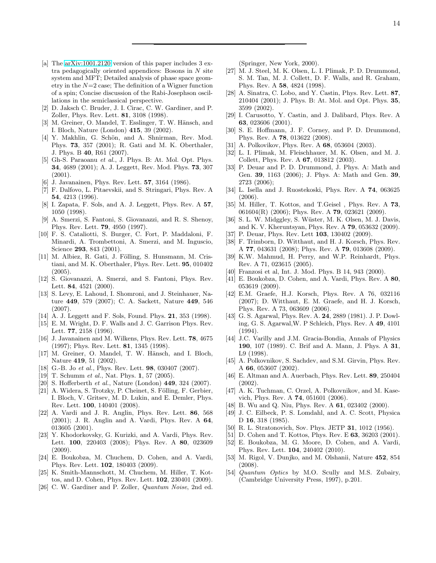- <span id="page-13-34"></span>[a] The [arXiv:1001.2120](http://arxiv.org/abs/1001.2120) version of this paper includes 3 extra pedagogically oriented appendices: Bosons in  $N$  site system and MFT; Detailed analysis of phase space geometry in the  $N=2$  case; The definition of a Wigner function of a spin; Concise discussion of the Rabi-Josephson oscillations in the semiclassical perspective.
- <span id="page-13-0"></span>[2] D. Jaksch C. Bruder, J. I. Cirac, C. W. Gardiner, and P. Zoller, Phys. Rev. Lett. 81, 3108 (1998).
- <span id="page-13-1"></span>[3] M. Greiner, O. Mandel, T. Esslinger, T. W. Hänsch, and I. Bloch, Nature (London) 415, 39 (2002).
- <span id="page-13-2"></span>[4] Y. Makhlin, G. Schön, and A. Shnirman, Rev. Mod. Phys. 73, 357 (2001); R. Gati and M. K. Oberthaler, J. Phys. B 40, R61 (2007).
- <span id="page-13-3"></span>[5] Gh-S. Paraoanu *et al.*, J. Phys. B: At. Mol. Opt. Phys. 34, 4689 (2001); A. J. Leggett, Rev. Mod. Phys. 73, 307 (2001).
- <span id="page-13-4"></span>[6] J. Javanainen, Phys. Rev. Lett. 57, 3164 (1986).
- [7] F. Dalfovo, L. Pitaevskii, and S. Stringari, Phys. Rev. A 54, 4213 (1996).
- <span id="page-13-5"></span>[8] I. Zapata, F. Sols, and A. J. Leggett, Phys. Rev. A 57, 1050 (1998).
- <span id="page-13-6"></span>[9] A. Smerzi, S. Fantoni, S. Giovanazzi, and R. S. Shenoy, Phys. Rev. Lett. 79, 4950 (1997).
- <span id="page-13-7"></span>[10] F. S. Cataliotti, S. Burger, C. Fort, P. Maddaloni, F. Minardi, A. Trombettoni, A. Smerzi, and M. Inguscio, Science 293, 843 (2001).
- <span id="page-13-8"></span> $[11]$  M. Albiez, R. Gati, J. Fölling, S. Hunsmann, M. Cristiani, and M. K. Oberthaler, Phys. Rev. Lett. 95, 010402 (2005).
- <span id="page-13-9"></span>[12] S. Giovanazzi, A. Smerzi, and S. Fantoni, Phys. Rev. Lett. 84, 4521 (2000).
- <span id="page-13-10"></span>[13] S. Levy, E. Lahoud, I. Shomroni, and J. Steinhauer, Nature 449, 579 (2007); C. A. Sackett, Nature 449, 546 (2007).
- <span id="page-13-11"></span>[14] A. J. Leggett and F. Sols, Found. Phys. **21**, 353 (1998).
- [15] E. M. Wright, D. F. Walls and J. C. Garrison Phys. Rev. Lett. 77, 2158 (1996).
- <span id="page-13-12"></span>[16] J. Javanainen and M. Wilkens, Phys. Rev. Lett. 78, 4675 (1997); Phys. Rev. Lett. 81, 1345 (1998).
- <span id="page-13-13"></span>[17] M. Greiner, O. Mandel, T. W. Hänsch, and I. Bloch, Nature 419, 51 (2002).
- <span id="page-13-14"></span>[18] G.-B. Jo *et al.*, Phys. Rev. Lett. 98, 030407 (2007).
- <span id="page-13-39"></span>[19] T. Schumm *et al.*, Nat. Phys. 1, 57 (2005).
- <span id="page-13-15"></span>[20] S. Hofferberth *et al.*, Nature (London) 449, 324 (2007).
- <span id="page-13-16"></span>[21] A. Widera, S. Trotzky, P. Cheinet, S. Fölling, F. Gerbier, I. Bloch, V. Gritsev, M. D. Lukin, and E. Demler, Phys. Rev. Lett. 100, 140401 (2008).
- <span id="page-13-17"></span>[22] A. Vardi and J. R. Anglin, Phys. Rev. Lett. 86, 568 (2001); J. R. Anglin and A. Vardi, Phys. Rev. A 64, 013605 (2001).
- [23] Y. Khodorkovsky, G. Kurizki, and A. Vardi, Phys. Rev. Lett. **100**, 220403 (2008); Phys. Rev. A 80, 023609 (2009).
- <span id="page-13-18"></span>[24] E. Boukobza, M. Chuchem, D. Cohen, and A. Vardi, Phys. Rev. Lett. 102, 180403 (2009).
- <span id="page-13-19"></span>[25] K. Smith-Mannschott, M. Chuchem, M. Hiller, T. Kottos, and D. Cohen, Phys. Rev. Lett. 102, 230401 (2009).
- <span id="page-13-20"></span>[26] C. W. Gardiner and P. Zoller, *Quantum Noise*, 2nd ed.

(Springer, New York, 2000).

- <span id="page-13-21"></span>[27] M. J. Steel, M. K. Olsen, L. I. Plimak, P. D. Drummond, S. M. Tan, M. J. Collett, D. F. Walls, and R. Graham, Phys. Rev. A 58, 4824 (1998).
- <span id="page-13-23"></span>[28] A. Sinatra, C. Lobo, and Y. Castin, Phys. Rev. Lett. 87, 210404 (2001); J. Phys. B: At. Mol. and Opt. Phys. 35, 3599 (2002).
- [29] I. Carusotto, Y. Castin, and J. Dalibard, Phys. Rev. A 63, 023606 (2001).
- [30] S. E. Hoffmann, J. F. Corney, and P. D. Drummond, Phys. Rev. A 78, 013622 (2008).
- <span id="page-13-24"></span>[31] A. Polkovikov, Phys. Rev. A 68, 053604 (2003).
- [32] L. I. Plimak, M. Fleischhauer, M. K. Olsen, and M. J. Collett, Phys. Rev. A 67, 013812 (2003).
- [33] P. Deuar and P. D. Drummond, J. Phys. A: Math and Gen. 39, 1163 (2006); J. Phys. A: Math and Gen. 39, 2723 (2006);
- <span id="page-13-25"></span>[34] L. Isella and J. Ruostekoski, Phys. Rev. A 74, 063625 (2006).
- <span id="page-13-38"></span>[35] M. Hiller, T. Kottos, and T.Geisel , Phys. Rev. A 73, 061604(R) (2006); Phys. Rev. A **79**, 023621 (2009).
- <span id="page-13-26"></span>[36] S. L. W. Midggley, S. Wüster, M. K. Olsen, M. J. Davis, and K. V. Kheruntsyan, Phys. Rev. A 79, 053632 (2009).
- [37] P. Deuar, Phys. Rev. Lett **103**, 130402 (2009).
- [38] F. Trimborn, D. Witthaut, and H. J. Korsch, Phys. Rev. A 77, 043631 (2008); Phys. Rev. A 79, 013608 (2009).
- <span id="page-13-22"></span>[39] K.W. Mahmud, H. Perry, and W.P. Reinhardt, Phys. Rev. A 71, 023615 (2005).
- <span id="page-13-27"></span>[40] Franzosi et al, Int. J. Mod. Phys. B 14, 943 (2000).
- <span id="page-13-31"></span>[41] E. Boukobza, D. Cohen, and A. Vardi, Phys. Rev. A 80, 053619 (2009).
- <span id="page-13-28"></span>[42] E.M. Graefe, H.J. Korsch, Phys. Rev. A 76, 032116 (2007); D. Witthaut, E. M. Graefe, and H. J. Korsch, Phys. Rev. A 73, 063609 (2006).
- <span id="page-13-29"></span>[43] G. S. Agarwal, Phys. Rev. A. 24, 2889 (1981). J. P. Dowling, G. S. Agarwal,W. P Schleich, Phys. Rev. A 49, 4101 (1994).
- <span id="page-13-30"></span>[44] J.C. Varilly and J.M. Gracia-Bondia, Annals of Physics 190, 107 (1989). C. Brif and A. Mann, J. Phys. A 31, L9 (1998).
- <span id="page-13-32"></span>[45] A. Polkovnikov, S. Sachdev, and S.M. Girvin, Phys. Rev. A 66, 053607 (2002).
- [46] E. Altman and A. Auerbach, Phys. Rev. Lett. 89, 250404 (2002).
- <span id="page-13-33"></span>[47] A. K. Tuchman, C. Orzel, A. Polkovnikov, and M. Kasevich, Phys. Rev. A 74, 051601 (2006).
- <span id="page-13-35"></span>[48] B. Wu and Q. Niu, Phys. Rev. A 61, 023402 (2000).
- <span id="page-13-36"></span>[49] J. C. Eilbeck, P. S. Lomdahl, and A. C. Scott, Physica D 16, 318 (1985).
- <span id="page-13-37"></span>[50] R. L. Stratonovich, Sov. Phys. JETP **31**, 1012 (1956).
- <span id="page-13-41"></span>[51] D. Cohen and T. Kottos, Phys. Rev. E 63, 36203 (2001).
- <span id="page-13-40"></span>[52] E. Boukobza, M. G. Moore, D. Cohen, and A. Vardi, Phys. Rev. Lett. 104, 240402 (2010).
- <span id="page-13-42"></span>[53] M. Rigol, V. Dunjko, and M. Olshanii, Nature 452, 854 (2008).
- <span id="page-13-43"></span>[54] *Quantum Optics* by M.O. Scully and M.S. Zubairy, (Cambridge University Press, 1997), p.201.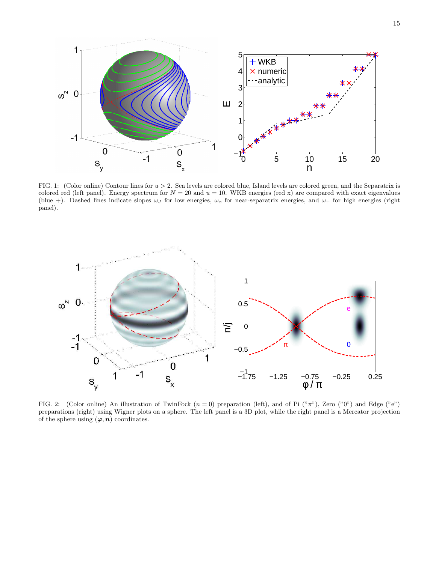

<span id="page-14-0"></span>FIG. 1: (Color online) Contour lines for  $u > 2$ . Sea levels are colored blue, Island levels are colored green, and the Separatrix is colored red (left panel). Energy spectrum for  $N = 20$  and  $u = 10$ . WKB energies (red x) are compared with exact eigenvalues (blue +). Dashed lines indicate slopes  $\omega_J$  for low energies,  $\omega_x$  for near-separatrix energies, and  $\omega_+$  for high energies (right panel).



<span id="page-14-1"></span>FIG. 2: (Color online) An illustration of TwinFock  $(n = 0)$  preparation (left), and of Pi  $({}^{\circ}\pi$ "), Zero  $({}^{\circ}0$ ") and Edge ("e") preparations (right) using Wigner plots on a sphere. The left panel is a 3D plot, while the right panel is a Mercator projection of the sphere using  $(\varphi, n)$  coordinates.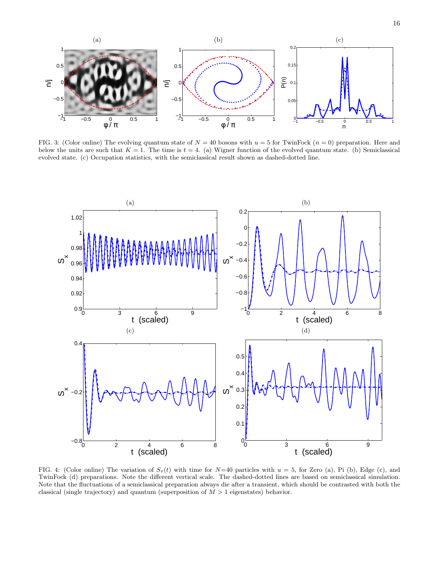

<span id="page-15-0"></span>FIG. 3: (Color online) The evolving quantum state of  $N = 40$  bosons with  $u = 5$  for TwinFock  $(n = 0)$  preparation. Here and below the units are such that  $K = 1$ . The time is  $t = 4$ . (a) Wigner function of the evolved quantum state. (b) Semiclassical evolved state. (c) Occupation statistics, with the semiclassical result shown as dashed-dotted line.



<span id="page-15-1"></span>FIG. 4: (Color online) The variation of  $S_x(t)$  with time for  $N=40$  particles with  $u=5$ , for Zero (a), Pi (b), Edge (c), and TwinFock (d) preparations. Note the different vertical scale. The dashed-dotted lines are based on semiclassical simulation. Note that the fluctuations of a semiclassical preparation always die after a transient, which should be contrasted with both the classical (single trajectory) and quantum (superposition of  $M > 1$  eigenstates) behavior.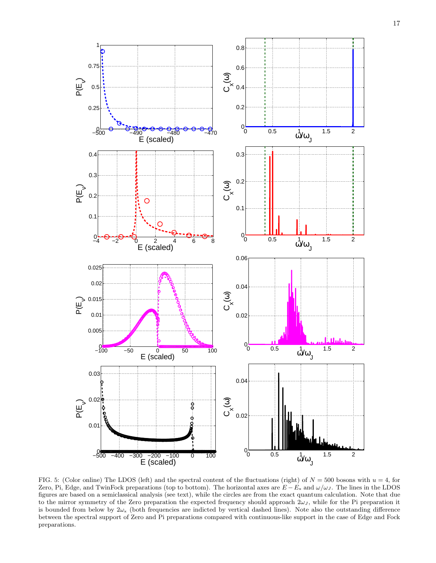

<span id="page-16-0"></span>FIG. 5: (Color online) The LDOS (left) and the spectral content of the fluctuations (right) of  $N = 500$  bosons with  $u = 4$ , for Zero, Pi, Edge, and TwinFock preparations (top to bottom). The horizontal axes are  $E - E_x$  and  $\omega/\omega_J$ . The lines in the LDOS figures are based on a semiclassical analysis (see text), while the circles are from the exact quantum calculation. Note that due to the mirror symmetry of the Zero preparation the expected frequency should approach  $2\omega_J$ , while for the Pi preparation it is bounded from below by  $2\omega_x$  (both frequencies are indicted by vertical dashed lines). Note also the outstanding difference between the spectral support of Zero and Pi preparations compared with continuous-like support in the case of Edge and Fock preparations.